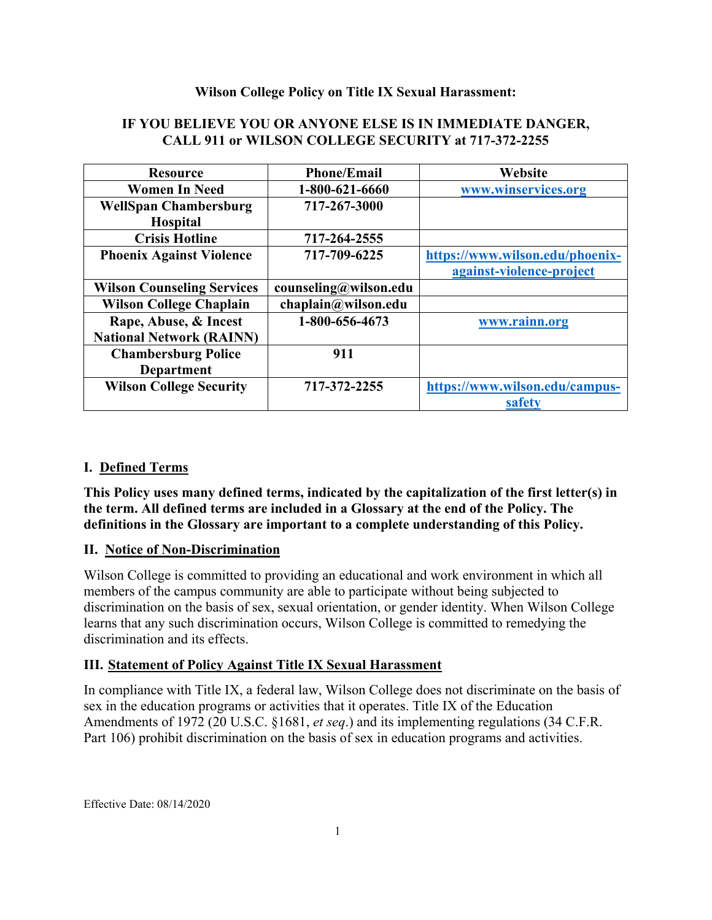#### **Wilson College Policy on Title IX Sexual Harassment:**

#### **IF YOU BELIEVE YOU OR ANYONE ELSE IS IN IMMEDIATE DANGER, CALL 911 or WILSON COLLEGE SECURITY at 717-372-2255**

| <b>Resource</b>                   | <b>Phone/Email</b>    | Website                         |
|-----------------------------------|-----------------------|---------------------------------|
| <b>Women In Need</b>              | 1-800-621-6660        | www.winservices.org             |
| <b>WellSpan Chambersburg</b>      | 717-267-3000          |                                 |
| <b>Hospital</b>                   |                       |                                 |
| <b>Crisis Hotline</b>             | 717-264-2555          |                                 |
| <b>Phoenix Against Violence</b>   | 717-709-6225          | https://www.wilson.edu/phoenix- |
|                                   |                       | against-violence-project        |
| <b>Wilson Counseling Services</b> | counseling@wilson.edu |                                 |
| <b>Wilson College Chaplain</b>    | chaplain@wilson.edu   |                                 |
| Rape, Abuse, & Incest             | 1-800-656-4673        | www.rainn.org                   |
| <b>National Network (RAINN)</b>   |                       |                                 |
| <b>Chambersburg Police</b>        | 911                   |                                 |
| <b>Department</b>                 |                       |                                 |
| <b>Wilson College Security</b>    | 717-372-2255          | https://www.wilson.edu/campus-  |
|                                   |                       | safety                          |

### **I. Defined Terms**

**This Policy uses many defined terms, indicated by the capitalization of the first letter(s) in the term. All defined terms are included in a Glossary at the end of the Policy. The definitions in the Glossary are important to a complete understanding of this Policy.** 

#### **II. Notice of Non-Discrimination**

Wilson College is committed to providing an educational and work environment in which all members of the campus community are able to participate without being subjected to discrimination on the basis of sex, sexual orientation, or gender identity. When Wilson College learns that any such discrimination occurs, Wilson College is committed to remedying the discrimination and its effects.

### **III. Statement of Policy Against Title IX Sexual Harassment**

In compliance with Title IX, a federal law, Wilson College does not discriminate on the basis of sex in the education programs or activities that it operates. Title IX of the Education Amendments of 1972 (20 U.S.C. §1681, *et seq*.) and its implementing regulations (34 C.F.R. Part 106) prohibit discrimination on the basis of sex in education programs and activities.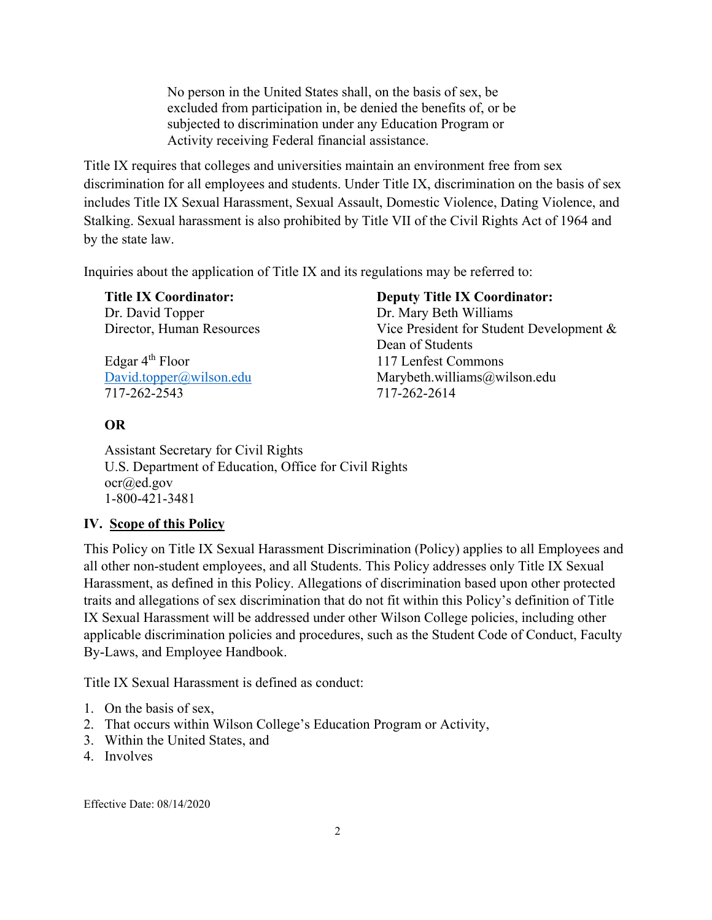No person in the United States shall, on the basis of sex, be excluded from participation in, be denied the benefits of, or be subjected to discrimination under any Education Program or Activity receiving Federal financial assistance.

Title IX requires that colleges and universities maintain an environment free from sex discrimination for all employees and students. Under Title IX, discrimination on the basis of sex includes Title IX Sexual Harassment, Sexual Assault, Domestic Violence, Dating Violence, and Stalking. Sexual harassment is also prohibited by Title VII of the Civil Rights Act of 1964 and by the state law.

Inquiries about the application of Title IX and its regulations may be referred to:

| <b>Title IX Coordinator:</b> | <b>Deputy Title IX Coordinator:</b>      |  |
|------------------------------|------------------------------------------|--|
| Dr. David Topper             | Dr. Mary Beth Williams                   |  |
| Director, Human Resources    | Vice President for Student Development & |  |
|                              | Dean of Students                         |  |
| Edgar $4th$ Floor            | 117 Lenfest Commons                      |  |
| David.topper@wilson.edu      | Marybeth.williams@wilson.edu             |  |
| 717-262-2543                 | 717-262-2614                             |  |

#### **OR**

Assistant Secretary for Civil Rights U.S. Department of Education, Office for Civil Rights  $ocr@ed.gov$ 1-800-421-3481

#### **IV. Scope of this Policy**

This Policy on Title IX Sexual Harassment Discrimination (Policy) applies to all Employees and all other non-student employees, and all Students. This Policy addresses only Title IX Sexual Harassment, as defined in this Policy. Allegations of discrimination based upon other protected traits and allegations of sex discrimination that do not fit within this Policy's definition of Title IX Sexual Harassment will be addressed under other Wilson College policies, including other applicable discrimination policies and procedures, such as the Student Code of Conduct, Faculty By-Laws, and Employee Handbook.

Title IX Sexual Harassment is defined as conduct:

- 1. On the basis of sex,
- 2. That occurs within Wilson College's Education Program or Activity,
- 3. Within the United States, and
- 4. Involves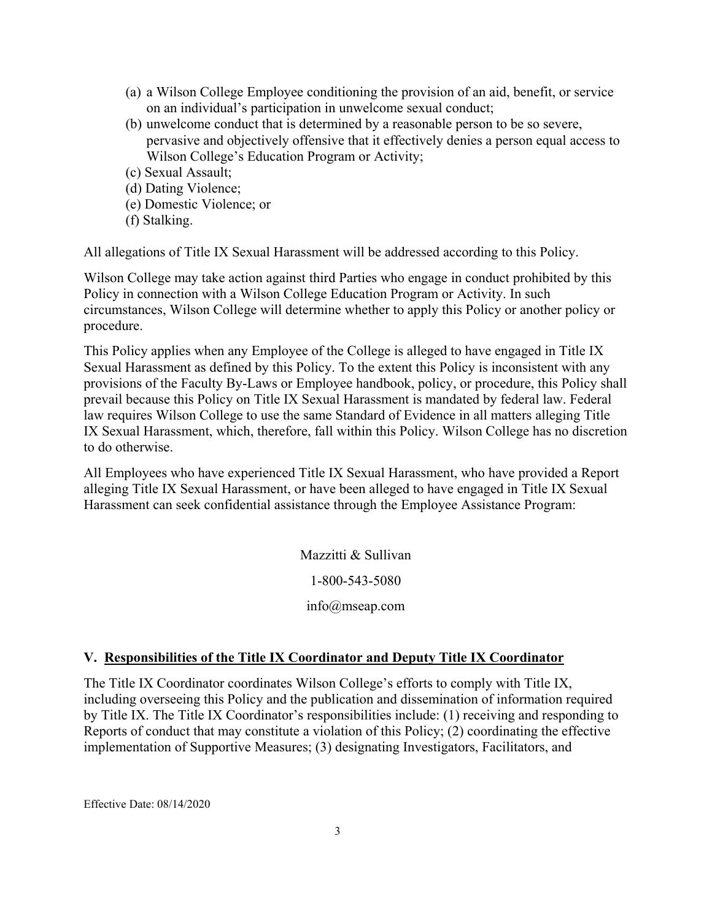- (a) a Wilson College Employee conditioning the provision of an aid, benefit, or service on an individual's participation in unwelcome sexual conduct;
- (b) unwelcome conduct that is determined by a reasonable person to be so severe, pervasive and objectively offensive that it effectively denies a person equal access to Wilson College's Education Program or Activity;
- (c) Sexual Assault;
- (d) Dating Violence;
- (e) Domestic Violence; or
- (f) Stalking.

All allegations of Title IX Sexual Harassment will be addressed according to this Policy.

Wilson College may take action against third Parties who engage in conduct prohibited by this Policy in connection with a Wilson College Education Program or Activity. In such circumstances, Wilson College will determine whether to apply this Policy or another policy or procedure.

This Policy applies when any Employee of the College is alleged to have engaged in Title IX Sexual Harassment as defined by this Policy. To the extent this Policy is inconsistent with any provisions of the Faculty By-Laws or Employee handbook, policy, or procedure, this Policy shall prevail because this Policy on Title IX Sexual Harassment is mandated by federal law. Federal law requires Wilson College to use the same Standard of Evidence in all matters alleging Title IX Sexual Harassment, which, therefore, fall within this Policy. Wilson College has no discretion to do otherwise.

All Employees who have experienced Title IX Sexual Harassment, who have provided a Report alleging Title IX Sexual Harassment, or have been alleged to have engaged in Title IX Sexual Harassment can seek confidential assistance through the Employee Assistance Program:

> Mazzitti & Sullivan 1-800-543-5080

info@mseap.com

### **V. Responsibilities of the Title IX Coordinator and Deputy Title IX Coordinator**

The Title IX Coordinator coordinates Wilson College's efforts to comply with Title IX, including overseeing this Policy and the publication and dissemination of information required by Title IX. The Title IX Coordinator's responsibilities include: (1) receiving and responding to Reports of conduct that may constitute a violation of this Policy; (2) coordinating the effective implementation of Supportive Measures; (3) designating Investigators, Facilitators, and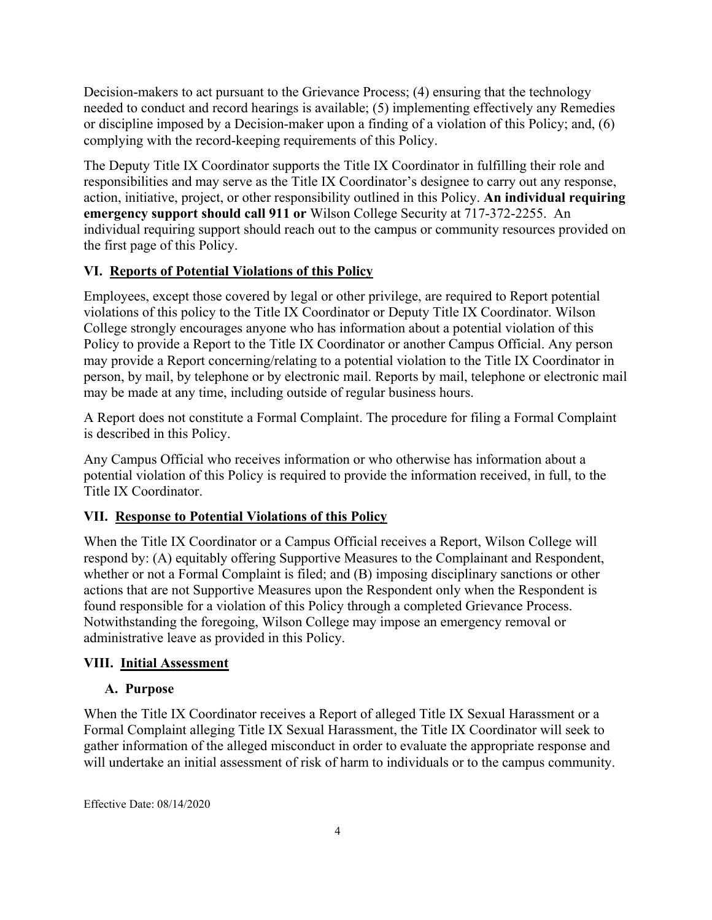Decision-makers to act pursuant to the Grievance Process; (4) ensuring that the technology needed to conduct and record hearings is available; (5) implementing effectively any Remedies or discipline imposed by a Decision-maker upon a finding of a violation of this Policy; and, (6) complying with the record-keeping requirements of this Policy.

The Deputy Title IX Coordinator supports the Title IX Coordinator in fulfilling their role and responsibilities and may serve as the Title IX Coordinator's designee to carry out any response, action, initiative, project, or other responsibility outlined in this Policy. **An individual requiring emergency support should call 911 or** Wilson College Security at 717-372-2255. An individual requiring support should reach out to the campus or community resources provided on the first page of this Policy.

# **VI. Reports of Potential Violations of this Policy**

Employees, except those covered by legal or other privilege, are required to Report potential violations of this policy to the Title IX Coordinator or Deputy Title IX Coordinator. Wilson College strongly encourages anyone who has information about a potential violation of this Policy to provide a Report to the Title IX Coordinator or another Campus Official. Any person may provide a Report concerning/relating to a potential violation to the Title IX Coordinator in person, by mail, by telephone or by electronic mail. Reports by mail, telephone or electronic mail may be made at any time, including outside of regular business hours.

A Report does not constitute a Formal Complaint. The procedure for filing a Formal Complaint is described in this Policy.

Any Campus Official who receives information or who otherwise has information about a potential violation of this Policy is required to provide the information received, in full, to the Title IX Coordinator.

# **VII. Response to Potential Violations of this Policy**

When the Title IX Coordinator or a Campus Official receives a Report, Wilson College will respond by: (A) equitably offering Supportive Measures to the Complainant and Respondent, whether or not a Formal Complaint is filed; and (B) imposing disciplinary sanctions or other actions that are not Supportive Measures upon the Respondent only when the Respondent is found responsible for a violation of this Policy through a completed Grievance Process. Notwithstanding the foregoing, Wilson College may impose an emergency removal or administrative leave as provided in this Policy.

### **VIII. Initial Assessment**

# **A. Purpose**

When the Title IX Coordinator receives a Report of alleged Title IX Sexual Harassment or a Formal Complaint alleging Title IX Sexual Harassment, the Title IX Coordinator will seek to gather information of the alleged misconduct in order to evaluate the appropriate response and will undertake an initial assessment of risk of harm to individuals or to the campus community.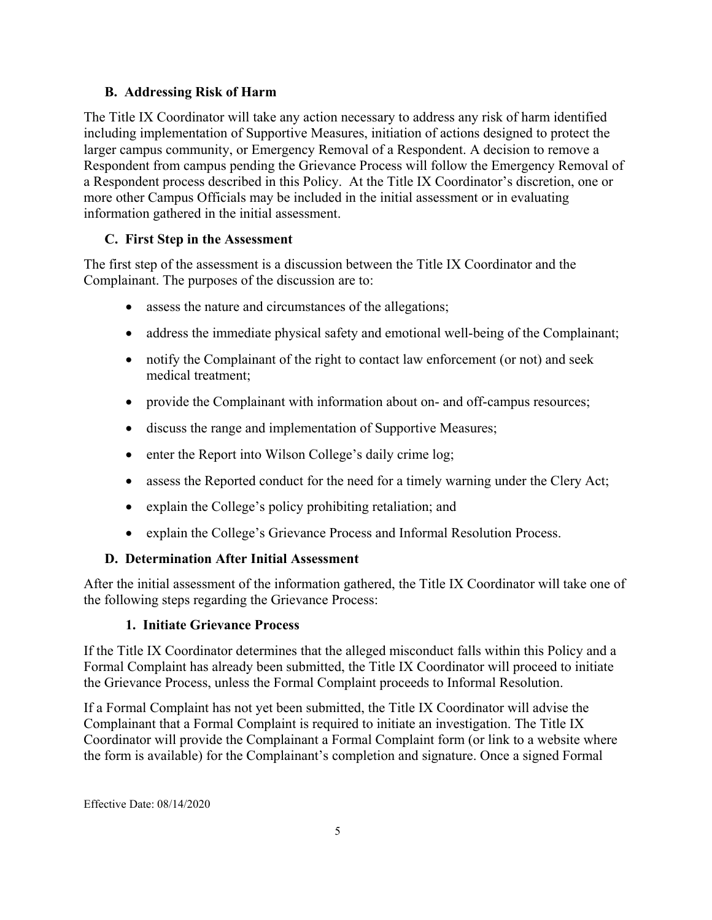### **B. Addressing Risk of Harm**

The Title IX Coordinator will take any action necessary to address any risk of harm identified including implementation of Supportive Measures, initiation of actions designed to protect the larger campus community, or Emergency Removal of a Respondent. A decision to remove a Respondent from campus pending the Grievance Process will follow the Emergency Removal of a Respondent process described in this Policy. At the Title IX Coordinator's discretion, one or more other Campus Officials may be included in the initial assessment or in evaluating information gathered in the initial assessment.

# **C. First Step in the Assessment**

The first step of the assessment is a discussion between the Title IX Coordinator and the Complainant. The purposes of the discussion are to:

- assess the nature and circumstances of the allegations;
- address the immediate physical safety and emotional well-being of the Complainant;
- notify the Complainant of the right to contact law enforcement (or not) and seek medical treatment;
- provide the Complainant with information about on- and off-campus resources;
- discuss the range and implementation of Supportive Measures;
- enter the Report into Wilson College's daily crime log;
- assess the Reported conduct for the need for a timely warning under the Clery Act;
- explain the College's policy prohibiting retaliation; and
- explain the College's Grievance Process and Informal Resolution Process.

### **D. Determination After Initial Assessment**

After the initial assessment of the information gathered, the Title IX Coordinator will take one of the following steps regarding the Grievance Process:

### **1. Initiate Grievance Process**

If the Title IX Coordinator determines that the alleged misconduct falls within this Policy and a Formal Complaint has already been submitted, the Title IX Coordinator will proceed to initiate the Grievance Process, unless the Formal Complaint proceeds to Informal Resolution.

If a Formal Complaint has not yet been submitted, the Title IX Coordinator will advise the Complainant that a Formal Complaint is required to initiate an investigation. The Title IX Coordinator will provide the Complainant a Formal Complaint form (or link to a website where the form is available) for the Complainant's completion and signature. Once a signed Formal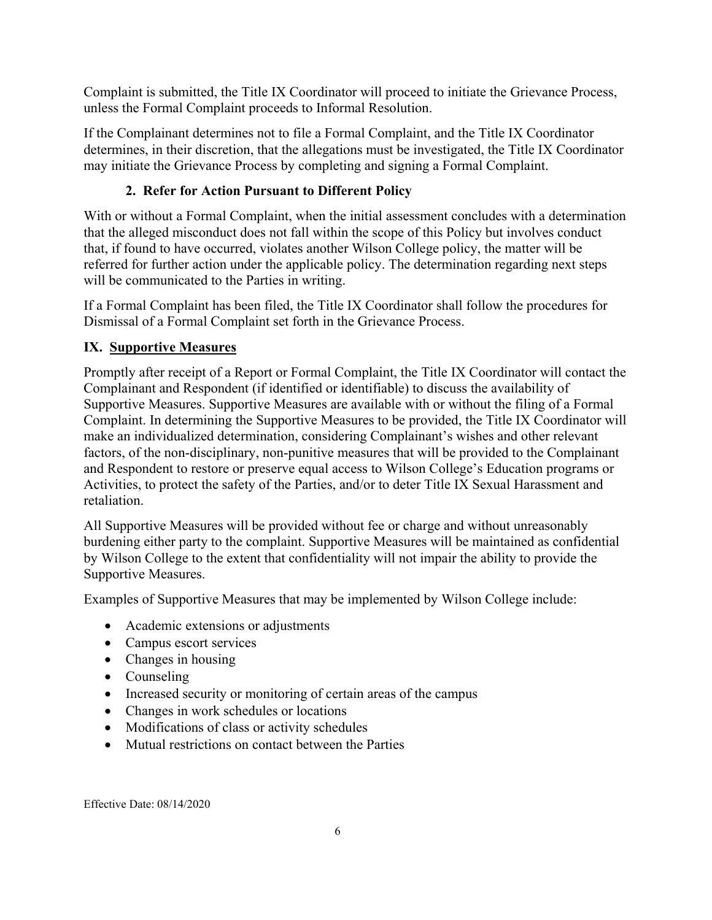Complaint is submitted, the Title IX Coordinator will proceed to initiate the Grievance Process, unless the Formal Complaint proceeds to Informal Resolution.

If the Complainant determines not to file a Formal Complaint, and the Title IX Coordinator determines, in their discretion, that the allegations must be investigated, the Title IX Coordinator may initiate the Grievance Process by completing and signing a Formal Complaint.

# **2. Refer for Action Pursuant to Different Policy**

With or without a Formal Complaint, when the initial assessment concludes with a determination that the alleged misconduct does not fall within the scope of this Policy but involves conduct that, if found to have occurred, violates another Wilson College policy, the matter will be referred for further action under the applicable policy. The determination regarding next steps will be communicated to the Parties in writing.

If a Formal Complaint has been filed, the Title IX Coordinator shall follow the procedures for Dismissal of a Formal Complaint set forth in the Grievance Process.

# **IX. Supportive Measures**

Promptly after receipt of a Report or Formal Complaint, the Title IX Coordinator will contact the Complainant and Respondent (if identified or identifiable) to discuss the availability of Supportive Measures. Supportive Measures are available with or without the filing of a Formal Complaint. In determining the Supportive Measures to be provided, the Title IX Coordinator will make an individualized determination, considering Complainant's wishes and other relevant factors, of the non-disciplinary, non-punitive measures that will be provided to the Complainant and Respondent to restore or preserve equal access to Wilson College's Education programs or Activities, to protect the safety of the Parties, and/or to deter Title IX Sexual Harassment and retaliation.

All Supportive Measures will be provided without fee or charge and without unreasonably burdening either party to the complaint. Supportive Measures will be maintained as confidential by Wilson College to the extent that confidentiality will not impair the ability to provide the Supportive Measures.

Examples of Supportive Measures that may be implemented by Wilson College include:

- Academic extensions or adjustments
- Campus escort services
- Changes in housing
- Counseling
- Increased security or monitoring of certain areas of the campus
- Changes in work schedules or locations
- Modifications of class or activity schedules
- Mutual restrictions on contact between the Parties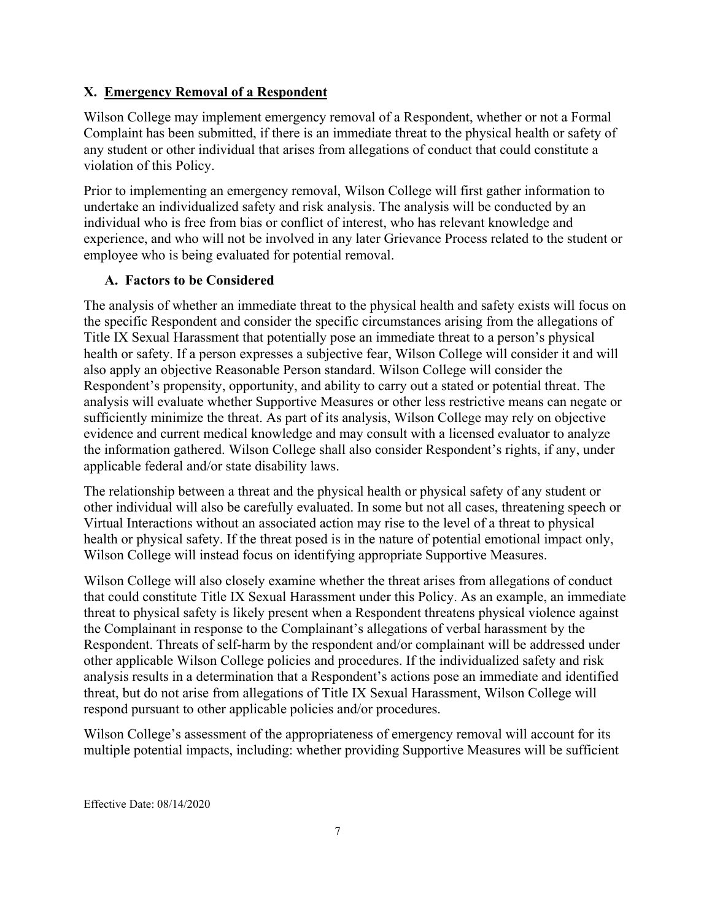## **X. Emergency Removal of a Respondent**

Wilson College may implement emergency removal of a Respondent, whether or not a Formal Complaint has been submitted, if there is an immediate threat to the physical health or safety of any student or other individual that arises from allegations of conduct that could constitute a violation of this Policy.

Prior to implementing an emergency removal, Wilson College will first gather information to undertake an individualized safety and risk analysis. The analysis will be conducted by an individual who is free from bias or conflict of interest, who has relevant knowledge and experience, and who will not be involved in any later Grievance Process related to the student or employee who is being evaluated for potential removal.

### **A. Factors to be Considered**

The analysis of whether an immediate threat to the physical health and safety exists will focus on the specific Respondent and consider the specific circumstances arising from the allegations of Title IX Sexual Harassment that potentially pose an immediate threat to a person's physical health or safety. If a person expresses a subjective fear, Wilson College will consider it and will also apply an objective Reasonable Person standard. Wilson College will consider the Respondent's propensity, opportunity, and ability to carry out a stated or potential threat. The analysis will evaluate whether Supportive Measures or other less restrictive means can negate or sufficiently minimize the threat. As part of its analysis, Wilson College may rely on objective evidence and current medical knowledge and may consult with a licensed evaluator to analyze the information gathered. Wilson College shall also consider Respondent's rights, if any, under applicable federal and/or state disability laws.

The relationship between a threat and the physical health or physical safety of any student or other individual will also be carefully evaluated. In some but not all cases, threatening speech or Virtual Interactions without an associated action may rise to the level of a threat to physical health or physical safety. If the threat posed is in the nature of potential emotional impact only, Wilson College will instead focus on identifying appropriate Supportive Measures.

Wilson College will also closely examine whether the threat arises from allegations of conduct that could constitute Title IX Sexual Harassment under this Policy. As an example, an immediate threat to physical safety is likely present when a Respondent threatens physical violence against the Complainant in response to the Complainant's allegations of verbal harassment by the Respondent. Threats of self-harm by the respondent and/or complainant will be addressed under other applicable Wilson College policies and procedures. If the individualized safety and risk analysis results in a determination that a Respondent's actions pose an immediate and identified threat, but do not arise from allegations of Title IX Sexual Harassment, Wilson College will respond pursuant to other applicable policies and/or procedures.

Wilson College's assessment of the appropriateness of emergency removal will account for its multiple potential impacts, including: whether providing Supportive Measures will be sufficient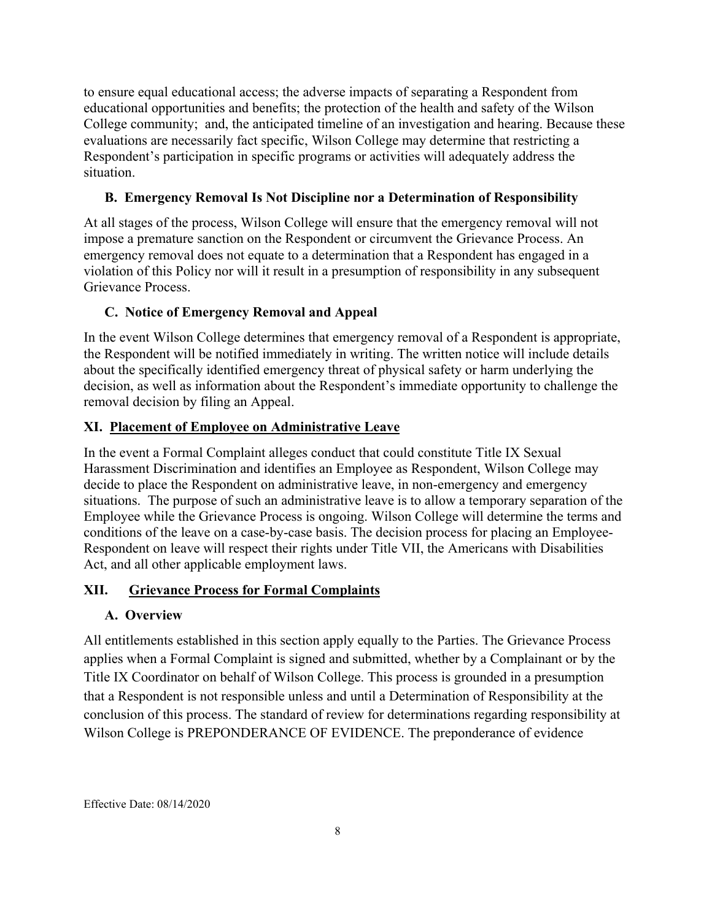to ensure equal educational access; the adverse impacts of separating a Respondent from educational opportunities and benefits; the protection of the health and safety of the Wilson College community; and, the anticipated timeline of an investigation and hearing. Because these evaluations are necessarily fact specific, Wilson College may determine that restricting a Respondent's participation in specific programs or activities will adequately address the situation.

### **B. Emergency Removal Is Not Discipline nor a Determination of Responsibility**

At all stages of the process, Wilson College will ensure that the emergency removal will not impose a premature sanction on the Respondent or circumvent the Grievance Process. An emergency removal does not equate to a determination that a Respondent has engaged in a violation of this Policy nor will it result in a presumption of responsibility in any subsequent Grievance Process.

# **C. Notice of Emergency Removal and Appeal**

In the event Wilson College determines that emergency removal of a Respondent is appropriate, the Respondent will be notified immediately in writing. The written notice will include details about the specifically identified emergency threat of physical safety or harm underlying the decision, as well as information about the Respondent's immediate opportunity to challenge the removal decision by filing an Appeal.

# **XI. Placement of Employee on Administrative Leave**

In the event a Formal Complaint alleges conduct that could constitute Title IX Sexual Harassment Discrimination and identifies an Employee as Respondent, Wilson College may decide to place the Respondent on administrative leave, in non-emergency and emergency situations. The purpose of such an administrative leave is to allow a temporary separation of the Employee while the Grievance Process is ongoing. Wilson College will determine the terms and conditions of the leave on a case-by-case basis. The decision process for placing an Employee-Respondent on leave will respect their rights under Title VII, the Americans with Disabilities Act, and all other applicable employment laws.

# **XII. Grievance Process for Formal Complaints**

# **A. Overview**

All entitlements established in this section apply equally to the Parties. The Grievance Process applies when a Formal Complaint is signed and submitted, whether by a Complainant or by the Title IX Coordinator on behalf of Wilson College. This process is grounded in a presumption that a Respondent is not responsible unless and until a Determination of Responsibility at the conclusion of this process. The standard of review for determinations regarding responsibility at Wilson College is PREPONDERANCE OF EVIDENCE. The preponderance of evidence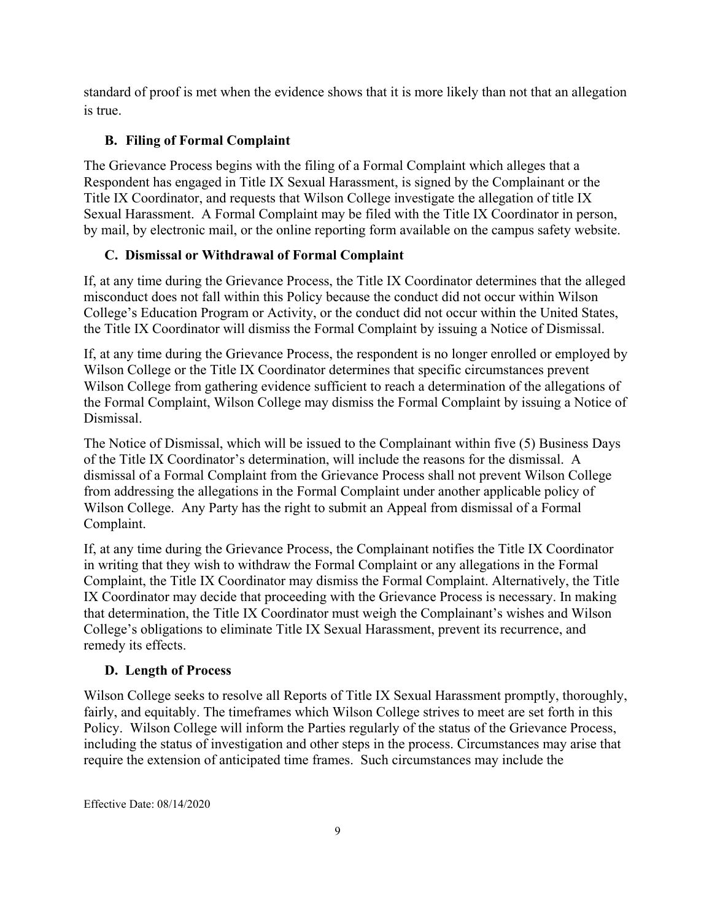standard of proof is met when the evidence shows that it is more likely than not that an allegation is true.

# **B. Filing of Formal Complaint**

The Grievance Process begins with the filing of a Formal Complaint which alleges that a Respondent has engaged in Title IX Sexual Harassment, is signed by the Complainant or the Title IX Coordinator, and requests that Wilson College investigate the allegation of title IX Sexual Harassment. A Formal Complaint may be filed with the Title IX Coordinator in person, by mail, by electronic mail, or the online reporting form available on the campus safety website.

# **C. Dismissal or Withdrawal of Formal Complaint**

If, at any time during the Grievance Process, the Title IX Coordinator determines that the alleged misconduct does not fall within this Policy because the conduct did not occur within Wilson College's Education Program or Activity, or the conduct did not occur within the United States, the Title IX Coordinator will dismiss the Formal Complaint by issuing a Notice of Dismissal.

If, at any time during the Grievance Process, the respondent is no longer enrolled or employed by Wilson College or the Title IX Coordinator determines that specific circumstances prevent Wilson College from gathering evidence sufficient to reach a determination of the allegations of the Formal Complaint, Wilson College may dismiss the Formal Complaint by issuing a Notice of Dismissal.

The Notice of Dismissal, which will be issued to the Complainant within five (5) Business Days of the Title IX Coordinator's determination, will include the reasons for the dismissal. A dismissal of a Formal Complaint from the Grievance Process shall not prevent Wilson College from addressing the allegations in the Formal Complaint under another applicable policy of Wilson College. Any Party has the right to submit an Appeal from dismissal of a Formal Complaint.

If, at any time during the Grievance Process, the Complainant notifies the Title IX Coordinator in writing that they wish to withdraw the Formal Complaint or any allegations in the Formal Complaint, the Title IX Coordinator may dismiss the Formal Complaint. Alternatively, the Title IX Coordinator may decide that proceeding with the Grievance Process is necessary. In making that determination, the Title IX Coordinator must weigh the Complainant's wishes and Wilson College's obligations to eliminate Title IX Sexual Harassment, prevent its recurrence, and remedy its effects.

# **D. Length of Process**

Wilson College seeks to resolve all Reports of Title IX Sexual Harassment promptly, thoroughly, fairly, and equitably. The timeframes which Wilson College strives to meet are set forth in this Policy. Wilson College will inform the Parties regularly of the status of the Grievance Process, including the status of investigation and other steps in the process. Circumstances may arise that require the extension of anticipated time frames. Such circumstances may include the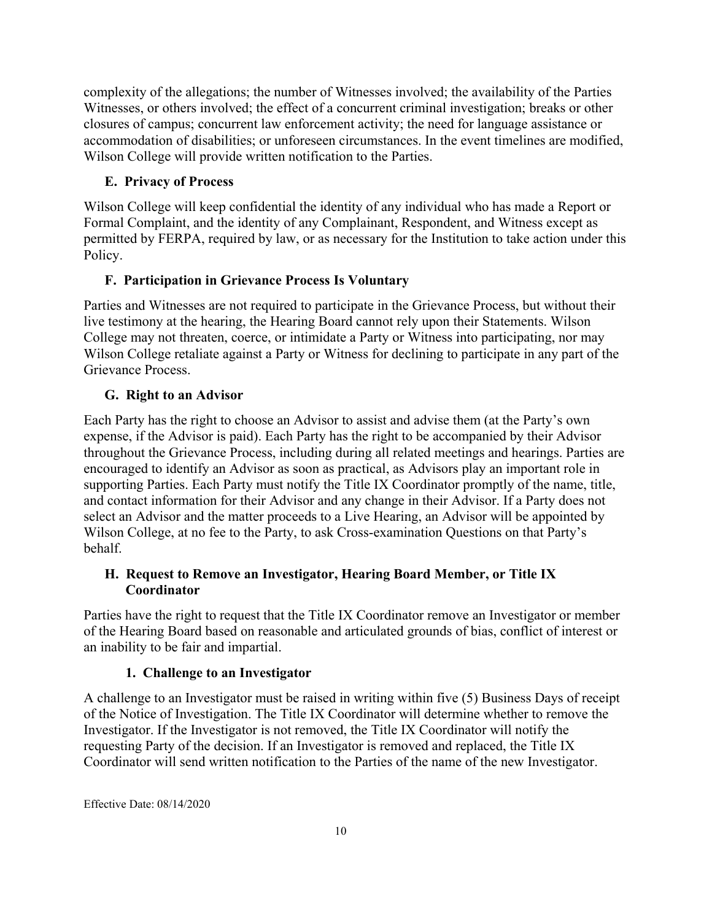complexity of the allegations; the number of Witnesses involved; the availability of the Parties Witnesses, or others involved; the effect of a concurrent criminal investigation; breaks or other closures of campus; concurrent law enforcement activity; the need for language assistance or accommodation of disabilities; or unforeseen circumstances. In the event timelines are modified, Wilson College will provide written notification to the Parties.

### **E. Privacy of Process**

Wilson College will keep confidential the identity of any individual who has made a Report or Formal Complaint, and the identity of any Complainant, Respondent, and Witness except as permitted by FERPA, required by law, or as necessary for the Institution to take action under this Policy.

# **F. Participation in Grievance Process Is Voluntary**

Parties and Witnesses are not required to participate in the Grievance Process, but without their live testimony at the hearing, the Hearing Board cannot rely upon their Statements. Wilson College may not threaten, coerce, or intimidate a Party or Witness into participating, nor may Wilson College retaliate against a Party or Witness for declining to participate in any part of the Grievance Process.

### **G. Right to an Advisor**

Each Party has the right to choose an Advisor to assist and advise them (at the Party's own expense, if the Advisor is paid). Each Party has the right to be accompanied by their Advisor throughout the Grievance Process, including during all related meetings and hearings. Parties are encouraged to identify an Advisor as soon as practical, as Advisors play an important role in supporting Parties. Each Party must notify the Title IX Coordinator promptly of the name, title, and contact information for their Advisor and any change in their Advisor. If a Party does not select an Advisor and the matter proceeds to a Live Hearing, an Advisor will be appointed by Wilson College, at no fee to the Party, to ask Cross-examination Questions on that Party's behalf.

#### **H. Request to Remove an Investigator, Hearing Board Member, or Title IX Coordinator**

Parties have the right to request that the Title IX Coordinator remove an Investigator or member of the Hearing Board based on reasonable and articulated grounds of bias, conflict of interest or an inability to be fair and impartial.

### **1. Challenge to an Investigator**

A challenge to an Investigator must be raised in writing within five (5) Business Days of receipt of the Notice of Investigation. The Title IX Coordinator will determine whether to remove the Investigator. If the Investigator is not removed, the Title IX Coordinator will notify the requesting Party of the decision. If an Investigator is removed and replaced, the Title IX Coordinator will send written notification to the Parties of the name of the new Investigator.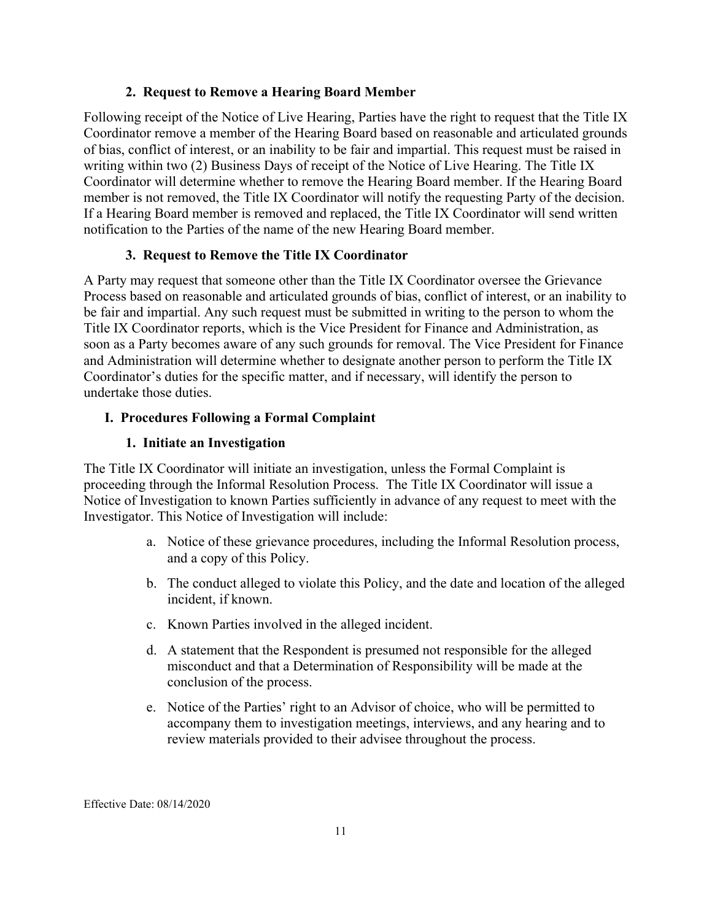#### **2. Request to Remove a Hearing Board Member**

Following receipt of the Notice of Live Hearing, Parties have the right to request that the Title IX Coordinator remove a member of the Hearing Board based on reasonable and articulated grounds of bias, conflict of interest, or an inability to be fair and impartial. This request must be raised in writing within two (2) Business Days of receipt of the Notice of Live Hearing. The Title IX Coordinator will determine whether to remove the Hearing Board member. If the Hearing Board member is not removed, the Title IX Coordinator will notify the requesting Party of the decision. If a Hearing Board member is removed and replaced, the Title IX Coordinator will send written notification to the Parties of the name of the new Hearing Board member.

#### **3. Request to Remove the Title IX Coordinator**

A Party may request that someone other than the Title IX Coordinator oversee the Grievance Process based on reasonable and articulated grounds of bias, conflict of interest, or an inability to be fair and impartial. Any such request must be submitted in writing to the person to whom the Title IX Coordinator reports, which is the Vice President for Finance and Administration, as soon as a Party becomes aware of any such grounds for removal. The Vice President for Finance and Administration will determine whether to designate another person to perform the Title IX Coordinator's duties for the specific matter, and if necessary, will identify the person to undertake those duties.

#### **I. Procedures Following a Formal Complaint**

#### **1. Initiate an Investigation**

The Title IX Coordinator will initiate an investigation, unless the Formal Complaint is proceeding through the Informal Resolution Process. The Title IX Coordinator will issue a Notice of Investigation to known Parties sufficiently in advance of any request to meet with the Investigator. This Notice of Investigation will include:

- a. Notice of these grievance procedures, including the Informal Resolution process, and a copy of this Policy.
- b. The conduct alleged to violate this Policy, and the date and location of the alleged incident, if known.
- c. Known Parties involved in the alleged incident.
- d. A statement that the Respondent is presumed not responsible for the alleged misconduct and that a Determination of Responsibility will be made at the conclusion of the process.
- e. Notice of the Parties' right to an Advisor of choice, who will be permitted to accompany them to investigation meetings, interviews, and any hearing and to review materials provided to their advisee throughout the process.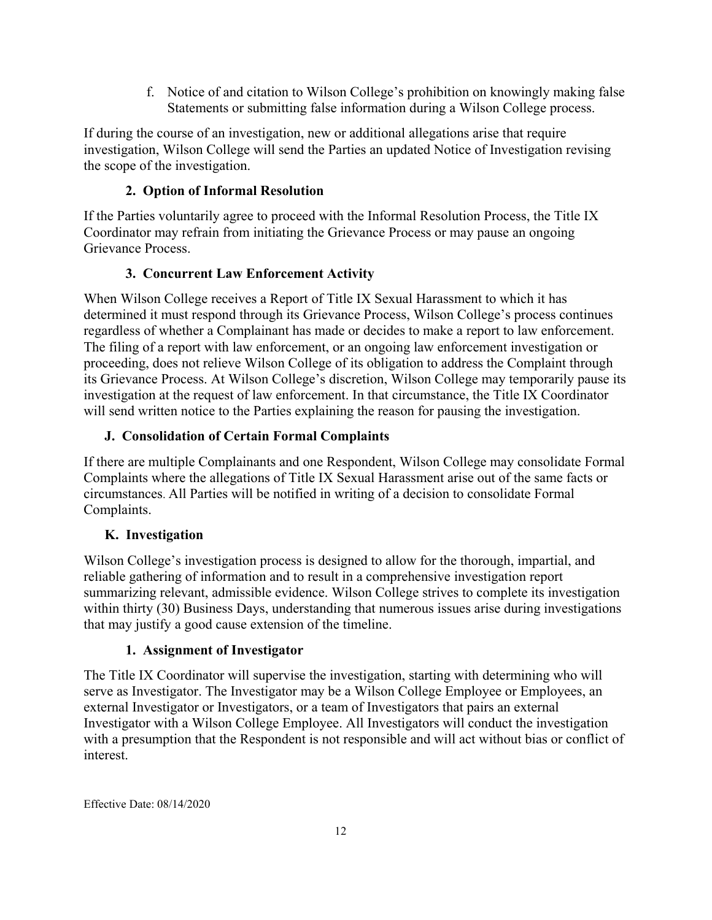f. Notice of and citation to Wilson College's prohibition on knowingly making false Statements or submitting false information during a Wilson College process.

If during the course of an investigation, new or additional allegations arise that require investigation, Wilson College will send the Parties an updated Notice of Investigation revising the scope of the investigation.

# **2. Option of Informal Resolution**

If the Parties voluntarily agree to proceed with the Informal Resolution Process, the Title IX Coordinator may refrain from initiating the Grievance Process or may pause an ongoing Grievance Process.

### **3. Concurrent Law Enforcement Activity**

When Wilson College receives a Report of Title IX Sexual Harassment to which it has determined it must respond through its Grievance Process, Wilson College's process continues regardless of whether a Complainant has made or decides to make a report to law enforcement. The filing of a report with law enforcement, or an ongoing law enforcement investigation or proceeding, does not relieve Wilson College of its obligation to address the Complaint through its Grievance Process. At Wilson College's discretion, Wilson College may temporarily pause its investigation at the request of law enforcement. In that circumstance, the Title IX Coordinator will send written notice to the Parties explaining the reason for pausing the investigation.

# **J. Consolidation of Certain Formal Complaints**

If there are multiple Complainants and one Respondent, Wilson College may consolidate Formal Complaints where the allegations of Title IX Sexual Harassment arise out of the same facts or circumstances. All Parties will be notified in writing of a decision to consolidate Formal Complaints.

### **K. Investigation**

Wilson College's investigation process is designed to allow for the thorough, impartial, and reliable gathering of information and to result in a comprehensive investigation report summarizing relevant, admissible evidence. Wilson College strives to complete its investigation within thirty (30) Business Days, understanding that numerous issues arise during investigations that may justify a good cause extension of the timeline.

### **1. Assignment of Investigator**

The Title IX Coordinator will supervise the investigation, starting with determining who will serve as Investigator. The Investigator may be a Wilson College Employee or Employees, an external Investigator or Investigators, or a team of Investigators that pairs an external Investigator with a Wilson College Employee. All Investigators will conduct the investigation with a presumption that the Respondent is not responsible and will act without bias or conflict of interest.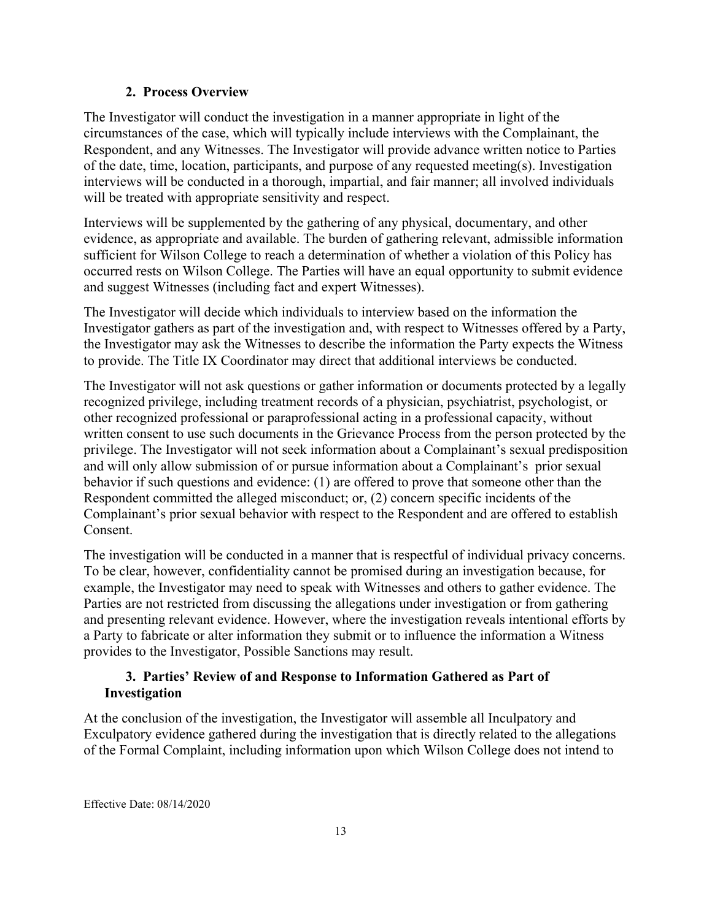#### **2. Process Overview**

The Investigator will conduct the investigation in a manner appropriate in light of the circumstances of the case, which will typically include interviews with the Complainant, the Respondent, and any Witnesses. The Investigator will provide advance written notice to Parties of the date, time, location, participants, and purpose of any requested meeting(s). Investigation interviews will be conducted in a thorough, impartial, and fair manner; all involved individuals will be treated with appropriate sensitivity and respect.

Interviews will be supplemented by the gathering of any physical, documentary, and other evidence, as appropriate and available. The burden of gathering relevant, admissible information sufficient for Wilson College to reach a determination of whether a violation of this Policy has occurred rests on Wilson College. The Parties will have an equal opportunity to submit evidence and suggest Witnesses (including fact and expert Witnesses).

The Investigator will decide which individuals to interview based on the information the Investigator gathers as part of the investigation and, with respect to Witnesses offered by a Party, the Investigator may ask the Witnesses to describe the information the Party expects the Witness to provide. The Title IX Coordinator may direct that additional interviews be conducted.

The Investigator will not ask questions or gather information or documents protected by a legally recognized privilege, including treatment records of a physician, psychiatrist, psychologist, or other recognized professional or paraprofessional acting in a professional capacity, without written consent to use such documents in the Grievance Process from the person protected by the privilege. The Investigator will not seek information about a Complainant's sexual predisposition and will only allow submission of or pursue information about a Complainant's prior sexual behavior if such questions and evidence: (1) are offered to prove that someone other than the Respondent committed the alleged misconduct; or, (2) concern specific incidents of the Complainant's prior sexual behavior with respect to the Respondent and are offered to establish Consent.

The investigation will be conducted in a manner that is respectful of individual privacy concerns. To be clear, however, confidentiality cannot be promised during an investigation because, for example, the Investigator may need to speak with Witnesses and others to gather evidence. The Parties are not restricted from discussing the allegations under investigation or from gathering and presenting relevant evidence. However, where the investigation reveals intentional efforts by a Party to fabricate or alter information they submit or to influence the information a Witness provides to the Investigator, Possible Sanctions may result.

#### **3. Parties' Review of and Response to Information Gathered as Part of Investigation**

At the conclusion of the investigation, the Investigator will assemble all Inculpatory and Exculpatory evidence gathered during the investigation that is directly related to the allegations of the Formal Complaint, including information upon which Wilson College does not intend to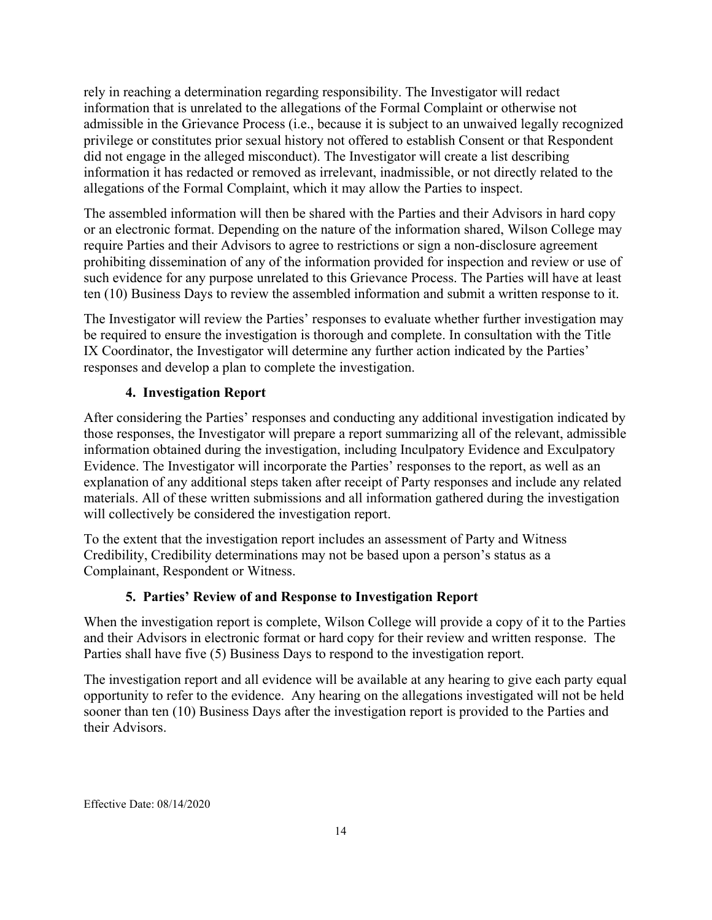rely in reaching a determination regarding responsibility. The Investigator will redact information that is unrelated to the allegations of the Formal Complaint or otherwise not admissible in the Grievance Process (i.e., because it is subject to an unwaived legally recognized privilege or constitutes prior sexual history not offered to establish Consent or that Respondent did not engage in the alleged misconduct). The Investigator will create a list describing information it has redacted or removed as irrelevant, inadmissible, or not directly related to the allegations of the Formal Complaint, which it may allow the Parties to inspect.

The assembled information will then be shared with the Parties and their Advisors in hard copy or an electronic format. Depending on the nature of the information shared, Wilson College may require Parties and their Advisors to agree to restrictions or sign a non-disclosure agreement prohibiting dissemination of any of the information provided for inspection and review or use of such evidence for any purpose unrelated to this Grievance Process. The Parties will have at least ten (10) Business Days to review the assembled information and submit a written response to it.

The Investigator will review the Parties' responses to evaluate whether further investigation may be required to ensure the investigation is thorough and complete. In consultation with the Title IX Coordinator, the Investigator will determine any further action indicated by the Parties' responses and develop a plan to complete the investigation.

### **4. Investigation Report**

After considering the Parties' responses and conducting any additional investigation indicated by those responses, the Investigator will prepare a report summarizing all of the relevant, admissible information obtained during the investigation, including Inculpatory Evidence and Exculpatory Evidence. The Investigator will incorporate the Parties' responses to the report, as well as an explanation of any additional steps taken after receipt of Party responses and include any related materials. All of these written submissions and all information gathered during the investigation will collectively be considered the investigation report.

To the extent that the investigation report includes an assessment of Party and Witness Credibility, Credibility determinations may not be based upon a person's status as a Complainant, Respondent or Witness.

### **5. Parties' Review of and Response to Investigation Report**

When the investigation report is complete, Wilson College will provide a copy of it to the Parties and their Advisors in electronic format or hard copy for their review and written response. The Parties shall have five (5) Business Days to respond to the investigation report.

The investigation report and all evidence will be available at any hearing to give each party equal opportunity to refer to the evidence. Any hearing on the allegations investigated will not be held sooner than ten (10) Business Days after the investigation report is provided to the Parties and their Advisors.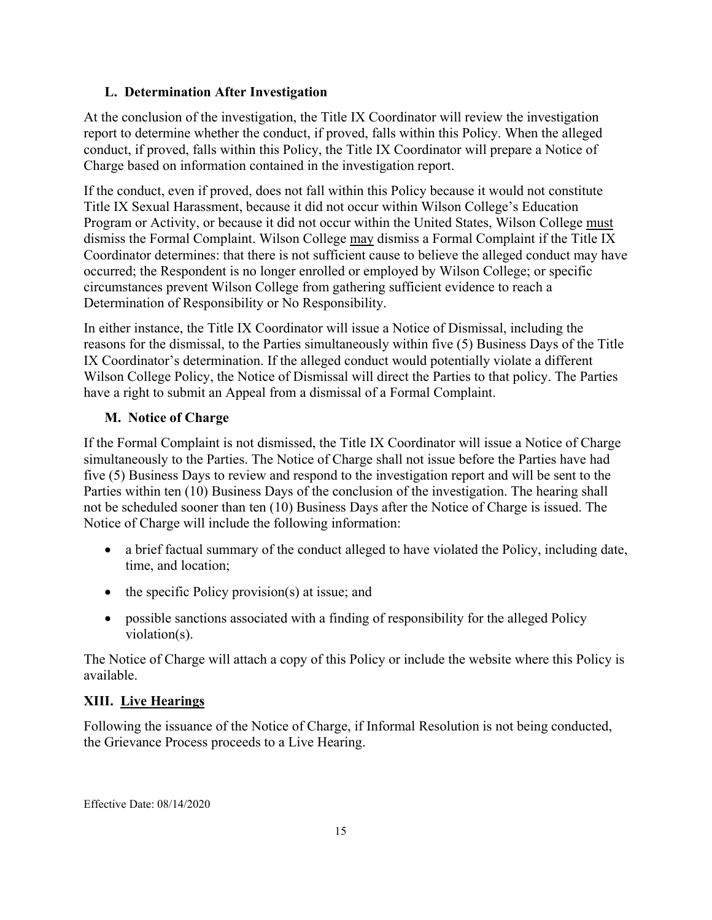### **L. Determination After Investigation**

At the conclusion of the investigation, the Title IX Coordinator will review the investigation report to determine whether the conduct, if proved, falls within this Policy. When the alleged conduct, if proved, falls within this Policy, the Title IX Coordinator will prepare a Notice of Charge based on information contained in the investigation report.

If the conduct, even if proved, does not fall within this Policy because it would not constitute Title IX Sexual Harassment, because it did not occur within Wilson College's Education Program or Activity, or because it did not occur within the United States, Wilson College must dismiss the Formal Complaint. Wilson College may dismiss a Formal Complaint if the Title IX Coordinator determines: that there is not sufficient cause to believe the alleged conduct may have occurred; the Respondent is no longer enrolled or employed by Wilson College; or specific circumstances prevent Wilson College from gathering sufficient evidence to reach a Determination of Responsibility or No Responsibility.

In either instance, the Title IX Coordinator will issue a Notice of Dismissal, including the reasons for the dismissal, to the Parties simultaneously within five (5) Business Days of the Title IX Coordinator's determination. If the alleged conduct would potentially violate a different Wilson College Policy, the Notice of Dismissal will direct the Parties to that policy. The Parties have a right to submit an Appeal from a dismissal of a Formal Complaint.

#### **M. Notice of Charge**

If the Formal Complaint is not dismissed, the Title IX Coordinator will issue a Notice of Charge simultaneously to the Parties. The Notice of Charge shall not issue before the Parties have had five (5) Business Days to review and respond to the investigation report and will be sent to the Parties within ten (10) Business Days of the conclusion of the investigation. The hearing shall not be scheduled sooner than ten (10) Business Days after the Notice of Charge is issued. The Notice of Charge will include the following information:

- a brief factual summary of the conduct alleged to have violated the Policy, including date, time, and location;
- the specific Policy provision(s) at issue; and
- possible sanctions associated with a finding of responsibility for the alleged Policy violation(s).

The Notice of Charge will attach a copy of this Policy or include the website where this Policy is available.

### **XIII. Live Hearings**

Following the issuance of the Notice of Charge, if Informal Resolution is not being conducted, the Grievance Process proceeds to a Live Hearing.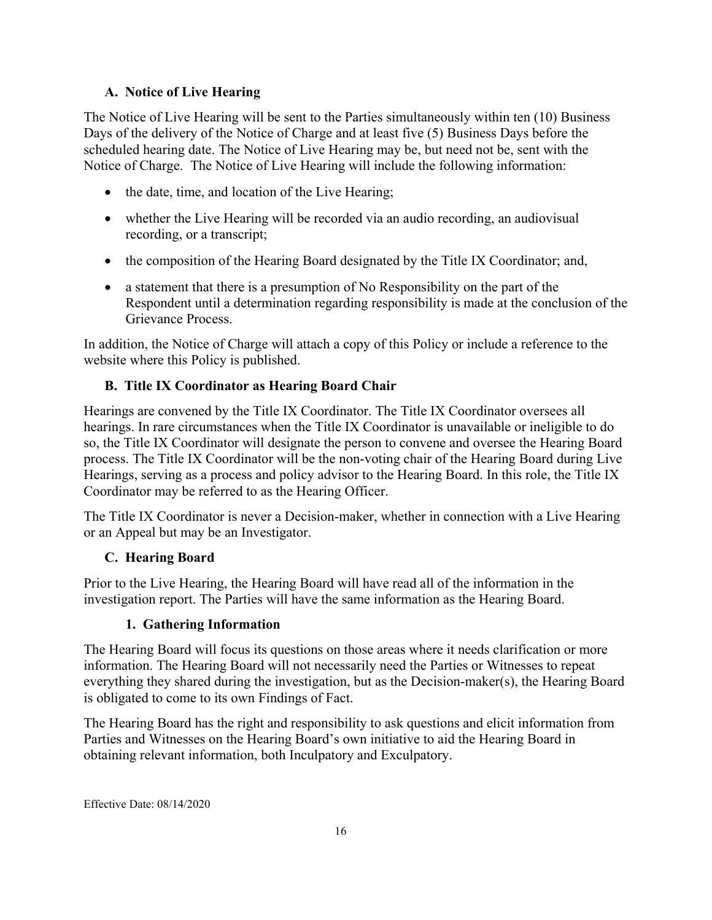### **A. Notice of Live Hearing**

The Notice of Live Hearing will be sent to the Parties simultaneously within ten (10) Business Days of the delivery of the Notice of Charge and at least five (5) Business Days before the scheduled hearing date. The Notice of Live Hearing may be, but need not be, sent with the Notice of Charge. The Notice of Live Hearing will include the following information:

- the date, time, and location of the Live Hearing;
- whether the Live Hearing will be recorded via an audio recording, an audiovisual recording, or a transcript;
- the composition of the Hearing Board designated by the Title IX Coordinator; and,
- a statement that there is a presumption of No Responsibility on the part of the Respondent until a determination regarding responsibility is made at the conclusion of the Grievance Process.

In addition, the Notice of Charge will attach a copy of this Policy or include a reference to the website where this Policy is published.

### **B. Title IX Coordinator as Hearing Board Chair**

Hearings are convened by the Title IX Coordinator. The Title IX Coordinator oversees all hearings. In rare circumstances when the Title IX Coordinator is unavailable or ineligible to do so, the Title IX Coordinator will designate the person to convene and oversee the Hearing Board process. The Title IX Coordinator will be the non-voting chair of the Hearing Board during Live Hearings, serving as a process and policy advisor to the Hearing Board. In this role, the Title IX Coordinator may be referred to as the Hearing Officer.

The Title IX Coordinator is never a Decision-maker, whether in connection with a Live Hearing or an Appeal but may be an Investigator.

#### **C. Hearing Board**

Prior to the Live Hearing, the Hearing Board will have read all of the information in the investigation report. The Parties will have the same information as the Hearing Board.

#### **1. Gathering Information**

The Hearing Board will focus its questions on those areas where it needs clarification or more information. The Hearing Board will not necessarily need the Parties or Witnesses to repeat everything they shared during the investigation, but as the Decision-maker(s), the Hearing Board is obligated to come to its own Findings of Fact.

The Hearing Board has the right and responsibility to ask questions and elicit information from Parties and Witnesses on the Hearing Board's own initiative to aid the Hearing Board in obtaining relevant information, both Inculpatory and Exculpatory.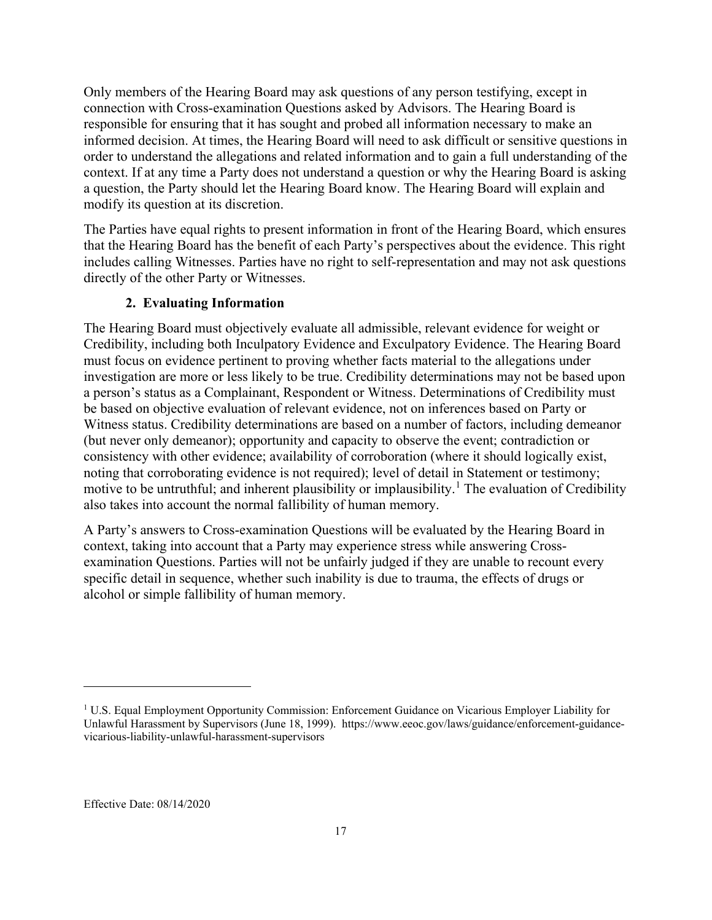Only members of the Hearing Board may ask questions of any person testifying, except in connection with Cross-examination Questions asked by Advisors. The Hearing Board is responsible for ensuring that it has sought and probed all information necessary to make an informed decision. At times, the Hearing Board will need to ask difficult or sensitive questions in order to understand the allegations and related information and to gain a full understanding of the context. If at any time a Party does not understand a question or why the Hearing Board is asking a question, the Party should let the Hearing Board know. The Hearing Board will explain and modify its question at its discretion.

The Parties have equal rights to present information in front of the Hearing Board, which ensures that the Hearing Board has the benefit of each Party's perspectives about the evidence. This right includes calling Witnesses. Parties have no right to self-representation and may not ask questions directly of the other Party or Witnesses.

#### **2. Evaluating Information**

The Hearing Board must objectively evaluate all admissible, relevant evidence for weight or Credibility, including both Inculpatory Evidence and Exculpatory Evidence. The Hearing Board must focus on evidence pertinent to proving whether facts material to the allegations under investigation are more or less likely to be true. Credibility determinations may not be based upon a person's status as a Complainant, Respondent or Witness. Determinations of Credibility must be based on objective evaluation of relevant evidence, not on inferences based on Party or Witness status. Credibility determinations are based on a number of factors, including demeanor (but never only demeanor); opportunity and capacity to observe the event; contradiction or consistency with other evidence; availability of corroboration (where it should logically exist, noting that corroborating evidence is not required); level of detail in Statement or testimony; motive to be untruthful; and inherent plausibility or implausibility.<sup>[1](#page-16-0)</sup> The evaluation of Credibility also takes into account the normal fallibility of human memory.

A Party's answers to Cross-examination Questions will be evaluated by the Hearing Board in context, taking into account that a Party may experience stress while answering Crossexamination Questions. Parties will not be unfairly judged if they are unable to recount every specific detail in sequence, whether such inability is due to trauma, the effects of drugs or alcohol or simple fallibility of human memory.

 $\overline{\phantom{a}}$ 

<span id="page-16-0"></span><sup>&</sup>lt;sup>1</sup> U.S. Equal Employment Opportunity Commission: Enforcement Guidance on Vicarious Employer Liability for Unlawful Harassment by Supervisors (June 18, 1999). https://www.eeoc.gov/laws/guidance/enforcement-guidancevicarious-liability-unlawful-harassment-supervisors

Effective Date: 08/14/2020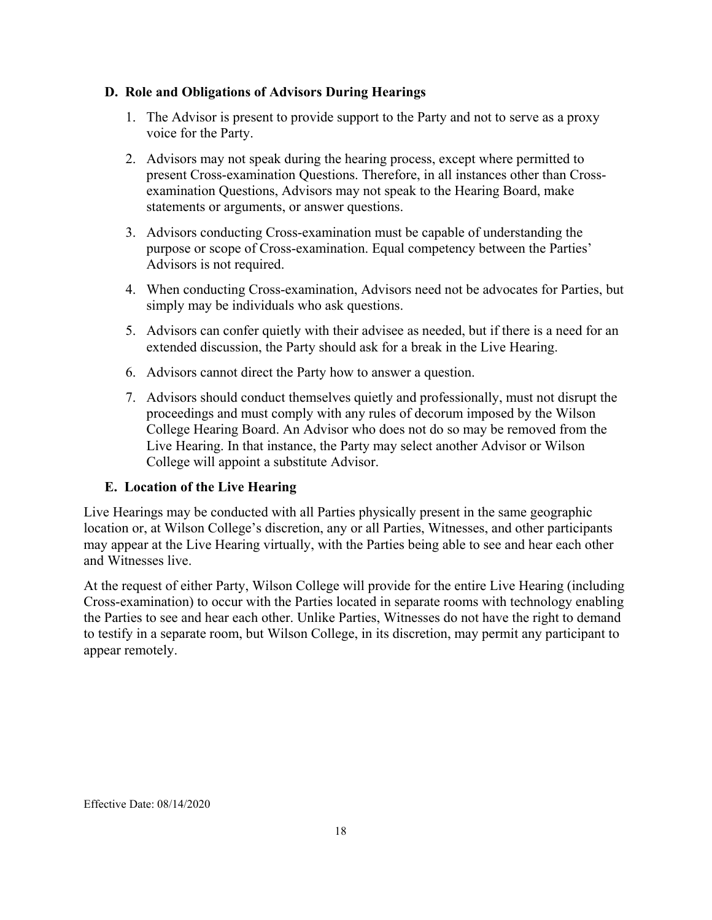#### **D. Role and Obligations of Advisors During Hearings**

- 1. The Advisor is present to provide support to the Party and not to serve as a proxy voice for the Party.
- 2. Advisors may not speak during the hearing process, except where permitted to present Cross-examination Questions. Therefore, in all instances other than Crossexamination Questions, Advisors may not speak to the Hearing Board, make statements or arguments, or answer questions.
- 3. Advisors conducting Cross-examination must be capable of understanding the purpose or scope of Cross-examination. Equal competency between the Parties' Advisors is not required.
- 4. When conducting Cross-examination, Advisors need not be advocates for Parties, but simply may be individuals who ask questions.
- 5. Advisors can confer quietly with their advisee as needed, but if there is a need for an extended discussion, the Party should ask for a break in the Live Hearing.
- 6. Advisors cannot direct the Party how to answer a question.
- 7. Advisors should conduct themselves quietly and professionally, must not disrupt the proceedings and must comply with any rules of decorum imposed by the Wilson College Hearing Board. An Advisor who does not do so may be removed from the Live Hearing. In that instance, the Party may select another Advisor or Wilson College will appoint a substitute Advisor.

### **E. Location of the Live Hearing**

Live Hearings may be conducted with all Parties physically present in the same geographic location or, at Wilson College's discretion, any or all Parties, Witnesses, and other participants may appear at the Live Hearing virtually, with the Parties being able to see and hear each other and Witnesses live.

At the request of either Party, Wilson College will provide for the entire Live Hearing (including Cross-examination) to occur with the Parties located in separate rooms with technology enabling the Parties to see and hear each other. Unlike Parties, Witnesses do not have the right to demand to testify in a separate room, but Wilson College, in its discretion, may permit any participant to appear remotely.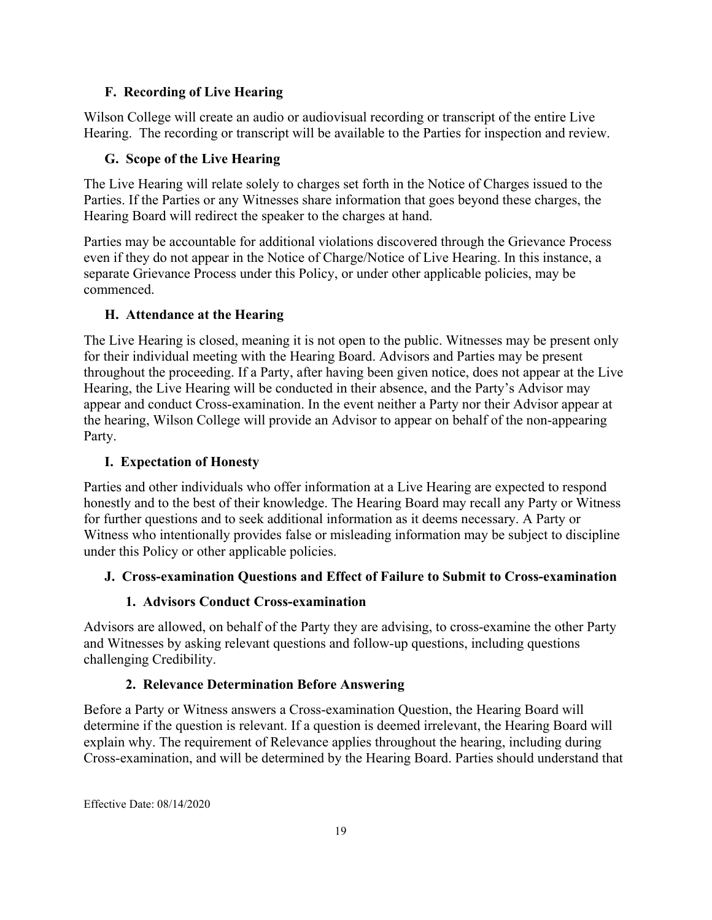### **F. Recording of Live Hearing**

Wilson College will create an audio or audiovisual recording or transcript of the entire Live Hearing. The recording or transcript will be available to the Parties for inspection and review.

### **G. Scope of the Live Hearing**

The Live Hearing will relate solely to charges set forth in the Notice of Charges issued to the Parties. If the Parties or any Witnesses share information that goes beyond these charges, the Hearing Board will redirect the speaker to the charges at hand.

Parties may be accountable for additional violations discovered through the Grievance Process even if they do not appear in the Notice of Charge/Notice of Live Hearing. In this instance, a separate Grievance Process under this Policy, or under other applicable policies, may be commenced.

#### **H. Attendance at the Hearing**

The Live Hearing is closed, meaning it is not open to the public. Witnesses may be present only for their individual meeting with the Hearing Board. Advisors and Parties may be present throughout the proceeding. If a Party, after having been given notice, does not appear at the Live Hearing, the Live Hearing will be conducted in their absence, and the Party's Advisor may appear and conduct Cross-examination. In the event neither a Party nor their Advisor appear at the hearing, Wilson College will provide an Advisor to appear on behalf of the non-appearing Party.

### **I. Expectation of Honesty**

Parties and other individuals who offer information at a Live Hearing are expected to respond honestly and to the best of their knowledge. The Hearing Board may recall any Party or Witness for further questions and to seek additional information as it deems necessary. A Party or Witness who intentionally provides false or misleading information may be subject to discipline under this Policy or other applicable policies.

### **J. Cross-examination Questions and Effect of Failure to Submit to Cross-examination**

#### **1. Advisors Conduct Cross-examination**

Advisors are allowed, on behalf of the Party they are advising, to cross-examine the other Party and Witnesses by asking relevant questions and follow-up questions, including questions challenging Credibility.

### **2. Relevance Determination Before Answering**

Before a Party or Witness answers a Cross-examination Question, the Hearing Board will determine if the question is relevant. If a question is deemed irrelevant, the Hearing Board will explain why. The requirement of Relevance applies throughout the hearing, including during Cross-examination, and will be determined by the Hearing Board. Parties should understand that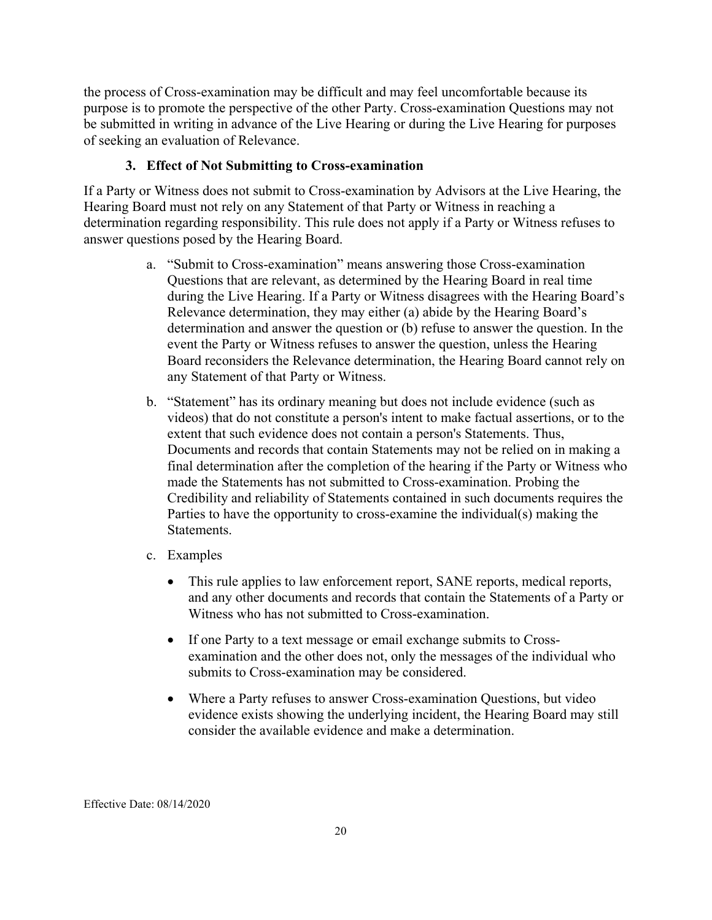the process of Cross-examination may be difficult and may feel uncomfortable because its purpose is to promote the perspective of the other Party. Cross-examination Questions may not be submitted in writing in advance of the Live Hearing or during the Live Hearing for purposes of seeking an evaluation of Relevance.

#### **3. Effect of Not Submitting to Cross-examination**

If a Party or Witness does not submit to Cross-examination by Advisors at the Live Hearing, the Hearing Board must not rely on any Statement of that Party or Witness in reaching a determination regarding responsibility. This rule does not apply if a Party or Witness refuses to answer questions posed by the Hearing Board.

- a. "Submit to Cross-examination" means answering those Cross-examination Questions that are relevant, as determined by the Hearing Board in real time during the Live Hearing. If a Party or Witness disagrees with the Hearing Board's Relevance determination, they may either (a) abide by the Hearing Board's determination and answer the question or (b) refuse to answer the question. In the event the Party or Witness refuses to answer the question, unless the Hearing Board reconsiders the Relevance determination, the Hearing Board cannot rely on any Statement of that Party or Witness.
- b. "Statement" has its ordinary meaning but does not include evidence (such as videos) that do not constitute a person's intent to make factual assertions, or to the extent that such evidence does not contain a person's Statements. Thus, Documents and records that contain Statements may not be relied on in making a final determination after the completion of the hearing if the Party or Witness who made the Statements has not submitted to Cross-examination. Probing the Credibility and reliability of Statements contained in such documents requires the Parties to have the opportunity to cross-examine the individual(s) making the Statements.
- c. Examples
	- This rule applies to law enforcement report, SANE reports, medical reports, and any other documents and records that contain the Statements of a Party or Witness who has not submitted to Cross-examination.
	- If one Party to a text message or email exchange submits to Crossexamination and the other does not, only the messages of the individual who submits to Cross-examination may be considered.
	- Where a Party refuses to answer Cross-examination Questions, but video evidence exists showing the underlying incident, the Hearing Board may still consider the available evidence and make a determination.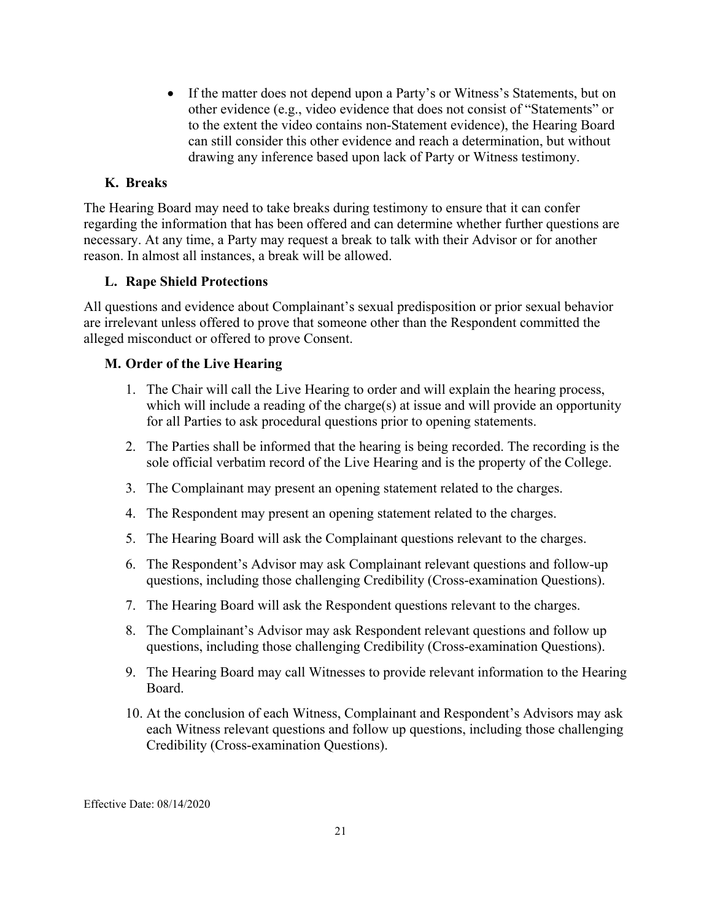• If the matter does not depend upon a Party's or Witness's Statements, but on other evidence (e.g., video evidence that does not consist of "Statements" or to the extent the video contains non-Statement evidence), the Hearing Board can still consider this other evidence and reach a determination, but without drawing any inference based upon lack of Party or Witness testimony.

### **K. Breaks**

The Hearing Board may need to take breaks during testimony to ensure that it can confer regarding the information that has been offered and can determine whether further questions are necessary. At any time, a Party may request a break to talk with their Advisor or for another reason. In almost all instances, a break will be allowed.

#### **L. Rape Shield Protections**

All questions and evidence about Complainant's sexual predisposition or prior sexual behavior are irrelevant unless offered to prove that someone other than the Respondent committed the alleged misconduct or offered to prove Consent.

#### **M. Order of the Live Hearing**

- 1. The Chair will call the Live Hearing to order and will explain the hearing process, which will include a reading of the charge(s) at issue and will provide an opportunity for all Parties to ask procedural questions prior to opening statements.
- 2. The Parties shall be informed that the hearing is being recorded. The recording is the sole official verbatim record of the Live Hearing and is the property of the College.
- 3. The Complainant may present an opening statement related to the charges.
- 4. The Respondent may present an opening statement related to the charges.
- 5. The Hearing Board will ask the Complainant questions relevant to the charges.
- 6. The Respondent's Advisor may ask Complainant relevant questions and follow-up questions, including those challenging Credibility (Cross-examination Questions).
- 7. The Hearing Board will ask the Respondent questions relevant to the charges.
- 8. The Complainant's Advisor may ask Respondent relevant questions and follow up questions, including those challenging Credibility (Cross-examination Questions).
- 9. The Hearing Board may call Witnesses to provide relevant information to the Hearing Board.
- 10. At the conclusion of each Witness, Complainant and Respondent's Advisors may ask each Witness relevant questions and follow up questions, including those challenging Credibility (Cross-examination Questions).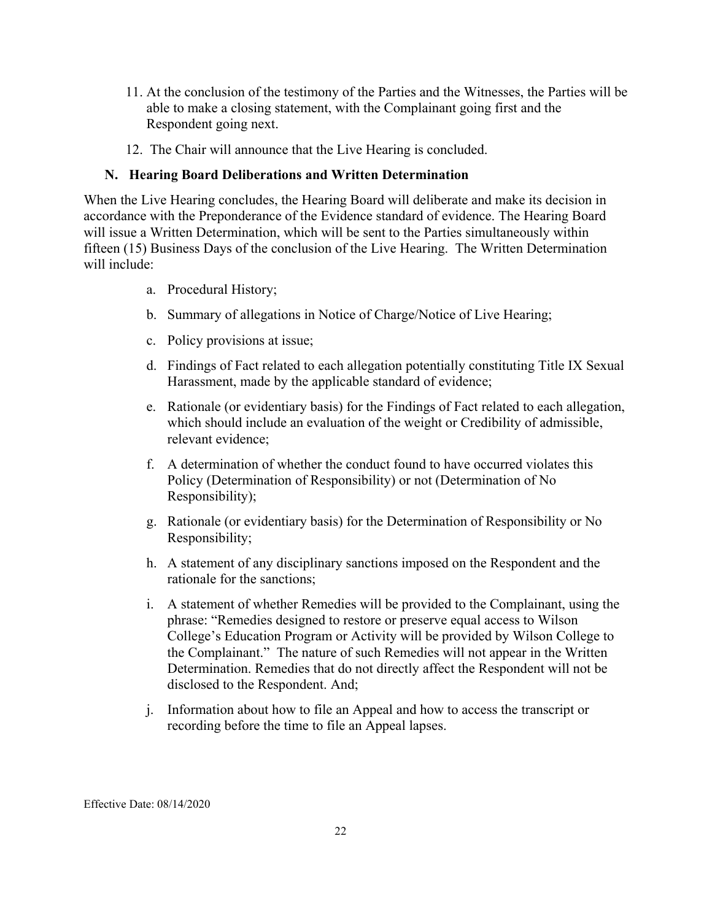- 11. At the conclusion of the testimony of the Parties and the Witnesses, the Parties will be able to make a closing statement, with the Complainant going first and the Respondent going next.
- 12. The Chair will announce that the Live Hearing is concluded.

#### **N. Hearing Board Deliberations and Written Determination**

When the Live Hearing concludes, the Hearing Board will deliberate and make its decision in accordance with the Preponderance of the Evidence standard of evidence. The Hearing Board will issue a Written Determination, which will be sent to the Parties simultaneously within fifteen (15) Business Days of the conclusion of the Live Hearing. The Written Determination will include:

- a. Procedural History;
- b. Summary of allegations in Notice of Charge/Notice of Live Hearing;
- c. Policy provisions at issue;
- d. Findings of Fact related to each allegation potentially constituting Title IX Sexual Harassment, made by the applicable standard of evidence;
- e. Rationale (or evidentiary basis) for the Findings of Fact related to each allegation, which should include an evaluation of the weight or Credibility of admissible, relevant evidence;
- f. A determination of whether the conduct found to have occurred violates this Policy (Determination of Responsibility) or not (Determination of No Responsibility);
- g. Rationale (or evidentiary basis) for the Determination of Responsibility or No Responsibility;
- h. A statement of any disciplinary sanctions imposed on the Respondent and the rationale for the sanctions;
- i. A statement of whether Remedies will be provided to the Complainant, using the phrase: "Remedies designed to restore or preserve equal access to Wilson College's Education Program or Activity will be provided by Wilson College to the Complainant." The nature of such Remedies will not appear in the Written Determination. Remedies that do not directly affect the Respondent will not be disclosed to the Respondent. And;
- j. Information about how to file an Appeal and how to access the transcript or recording before the time to file an Appeal lapses.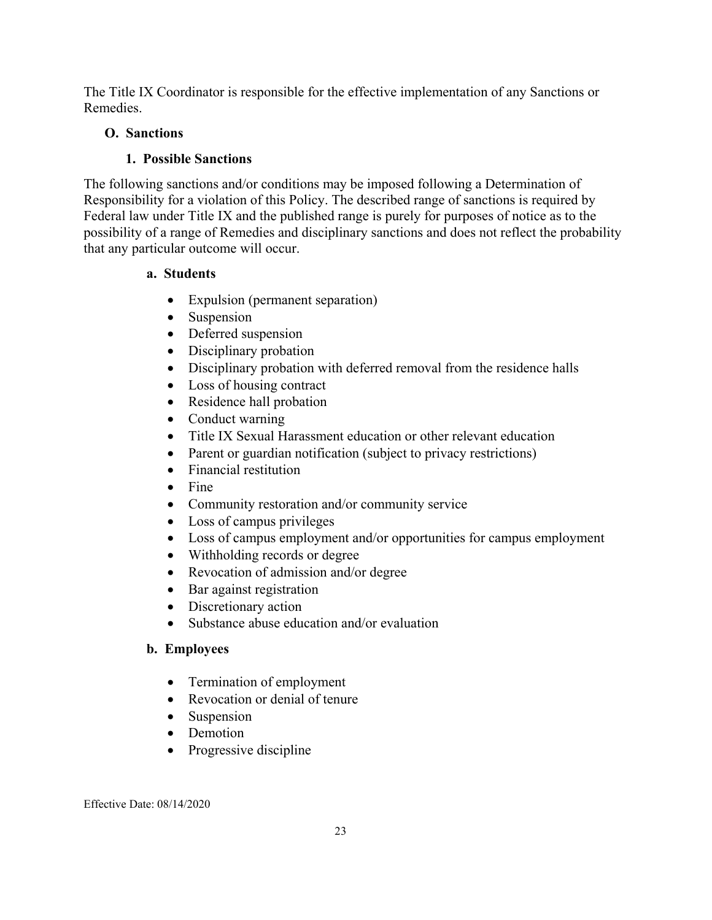The Title IX Coordinator is responsible for the effective implementation of any Sanctions or Remedies.

#### **O. Sanctions**

### **1. Possible Sanctions**

The following sanctions and/or conditions may be imposed following a Determination of Responsibility for a violation of this Policy. The described range of sanctions is required by Federal law under Title IX and the published range is purely for purposes of notice as to the possibility of a range of Remedies and disciplinary sanctions and does not reflect the probability that any particular outcome will occur.

#### **a. Students**

- Expulsion (permanent separation)
- Suspension
- Deferred suspension
- Disciplinary probation
- Disciplinary probation with deferred removal from the residence halls
- Loss of housing contract
- Residence hall probation
- Conduct warning
- Title IX Sexual Harassment education or other relevant education
- Parent or guardian notification (subject to privacy restrictions)
- Financial restitution
- Fine
- Community restoration and/or community service
- Loss of campus privileges
- Loss of campus employment and/or opportunities for campus employment
- Withholding records or degree
- Revocation of admission and/or degree
- Bar against registration
- Discretionary action
- Substance abuse education and/or evaluation

### **b. Employees**

- Termination of employment
- Revocation or denial of tenure
- Suspension
- Demotion
- Progressive discipline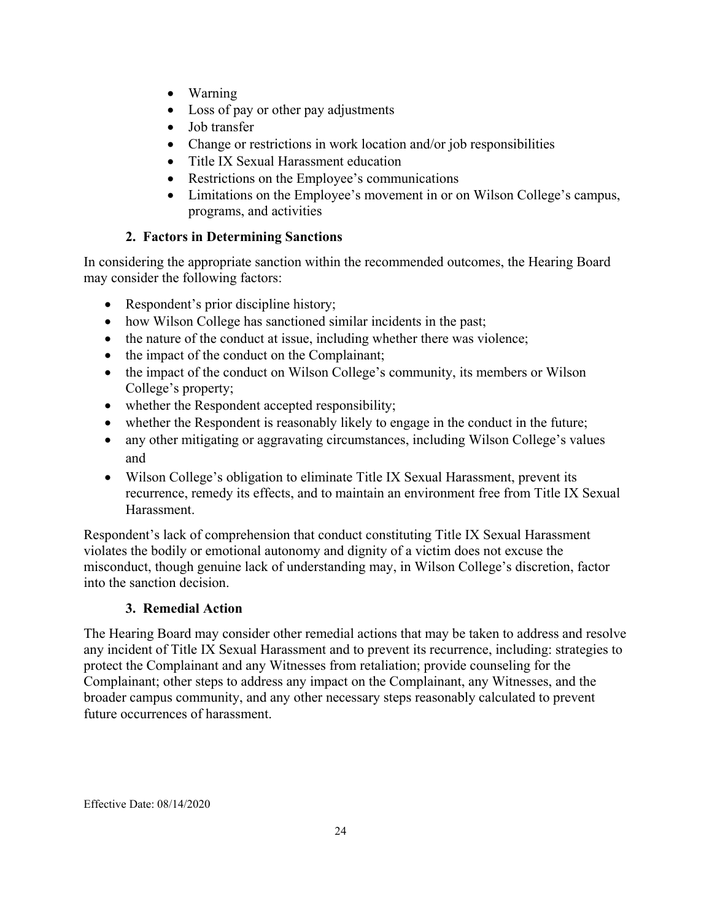- Warning
- Loss of pay or other pay adjustments
- Job transfer
- Change or restrictions in work location and/or job responsibilities
- Title IX Sexual Harassment education
- Restrictions on the Employee's communications
- Limitations on the Employee's movement in or on Wilson College's campus, programs, and activities

# **2. Factors in Determining Sanctions**

In considering the appropriate sanction within the recommended outcomes, the Hearing Board may consider the following factors:

- Respondent's prior discipline history;
- how Wilson College has sanctioned similar incidents in the past;
- the nature of the conduct at issue, including whether there was violence;
- the impact of the conduct on the Complainant;
- the impact of the conduct on Wilson College's community, its members or Wilson College's property;
- whether the Respondent accepted responsibility;
- whether the Respondent is reasonably likely to engage in the conduct in the future;
- any other mitigating or aggravating circumstances, including Wilson College's values and
- Wilson College's obligation to eliminate Title IX Sexual Harassment, prevent its recurrence, remedy its effects, and to maintain an environment free from Title IX Sexual Harassment.

Respondent's lack of comprehension that conduct constituting Title IX Sexual Harassment violates the bodily or emotional autonomy and dignity of a victim does not excuse the misconduct, though genuine lack of understanding may, in Wilson College's discretion, factor into the sanction decision.

### **3. Remedial Action**

The Hearing Board may consider other remedial actions that may be taken to address and resolve any incident of Title IX Sexual Harassment and to prevent its recurrence, including: strategies to protect the Complainant and any Witnesses from retaliation; provide counseling for the Complainant; other steps to address any impact on the Complainant, any Witnesses, and the broader campus community, and any other necessary steps reasonably calculated to prevent future occurrences of harassment.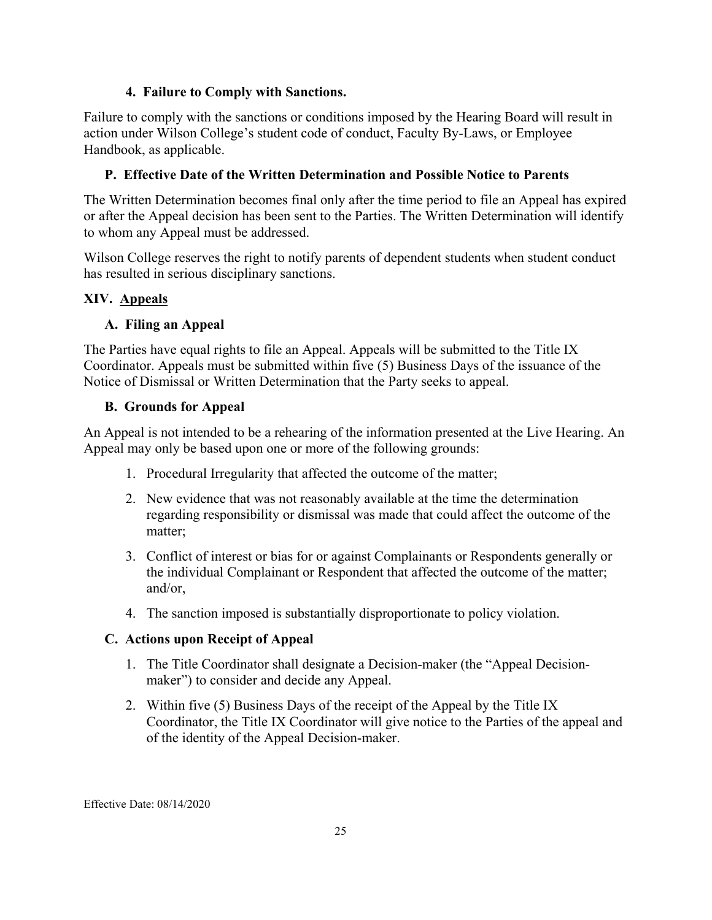#### **4. Failure to Comply with Sanctions.**

Failure to comply with the sanctions or conditions imposed by the Hearing Board will result in action under Wilson College's student code of conduct, Faculty By-Laws, or Employee Handbook, as applicable.

### **P. Effective Date of the Written Determination and Possible Notice to Parents**

The Written Determination becomes final only after the time period to file an Appeal has expired or after the Appeal decision has been sent to the Parties. The Written Determination will identify to whom any Appeal must be addressed.

Wilson College reserves the right to notify parents of dependent students when student conduct has resulted in serious disciplinary sanctions.

#### **XIV. Appeals**

#### **A. Filing an Appeal**

The Parties have equal rights to file an Appeal. Appeals will be submitted to the Title IX Coordinator. Appeals must be submitted within five (5) Business Days of the issuance of the Notice of Dismissal or Written Determination that the Party seeks to appeal.

#### **B. Grounds for Appeal**

An Appeal is not intended to be a rehearing of the information presented at the Live Hearing. An Appeal may only be based upon one or more of the following grounds:

- 1. Procedural Irregularity that affected the outcome of the matter;
- 2. New evidence that was not reasonably available at the time the determination regarding responsibility or dismissal was made that could affect the outcome of the matter;
- 3. Conflict of interest or bias for or against Complainants or Respondents generally or the individual Complainant or Respondent that affected the outcome of the matter; and/or,
- 4. The sanction imposed is substantially disproportionate to policy violation.

### **C. Actions upon Receipt of Appeal**

- 1. The Title Coordinator shall designate a Decision-maker (the "Appeal Decisionmaker") to consider and decide any Appeal.
- 2. Within five (5) Business Days of the receipt of the Appeal by the Title IX Coordinator, the Title IX Coordinator will give notice to the Parties of the appeal and of the identity of the Appeal Decision-maker.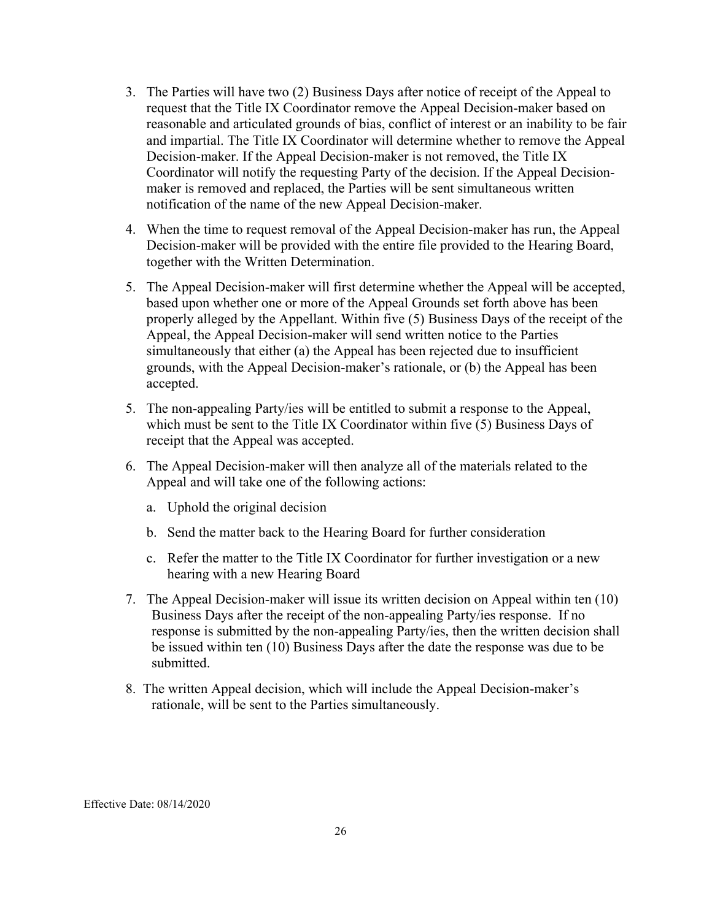- 3. The Parties will have two (2) Business Days after notice of receipt of the Appeal to request that the Title IX Coordinator remove the Appeal Decision-maker based on reasonable and articulated grounds of bias, conflict of interest or an inability to be fair and impartial. The Title IX Coordinator will determine whether to remove the Appeal Decision-maker. If the Appeal Decision-maker is not removed, the Title IX Coordinator will notify the requesting Party of the decision. If the Appeal Decisionmaker is removed and replaced, the Parties will be sent simultaneous written notification of the name of the new Appeal Decision-maker.
- 4. When the time to request removal of the Appeal Decision-maker has run, the Appeal Decision-maker will be provided with the entire file provided to the Hearing Board, together with the Written Determination.
- 5. The Appeal Decision-maker will first determine whether the Appeal will be accepted, based upon whether one or more of the Appeal Grounds set forth above has been properly alleged by the Appellant. Within five (5) Business Days of the receipt of the Appeal, the Appeal Decision-maker will send written notice to the Parties simultaneously that either (a) the Appeal has been rejected due to insufficient grounds, with the Appeal Decision-maker's rationale, or (b) the Appeal has been accepted.
- 5. The non-appealing Party/ies will be entitled to submit a response to the Appeal, which must be sent to the Title IX Coordinator within five (5) Business Days of receipt that the Appeal was accepted.
- 6. The Appeal Decision-maker will then analyze all of the materials related to the Appeal and will take one of the following actions:
	- a. Uphold the original decision
	- b. Send the matter back to the Hearing Board for further consideration
	- c. Refer the matter to the Title IX Coordinator for further investigation or a new hearing with a new Hearing Board
- 7. The Appeal Decision-maker will issue its written decision on Appeal within ten (10) Business Days after the receipt of the non-appealing Party/ies response. If no response is submitted by the non-appealing Party/ies, then the written decision shall be issued within ten (10) Business Days after the date the response was due to be submitted.
- 8. The written Appeal decision, which will include the Appeal Decision-maker's rationale, will be sent to the Parties simultaneously.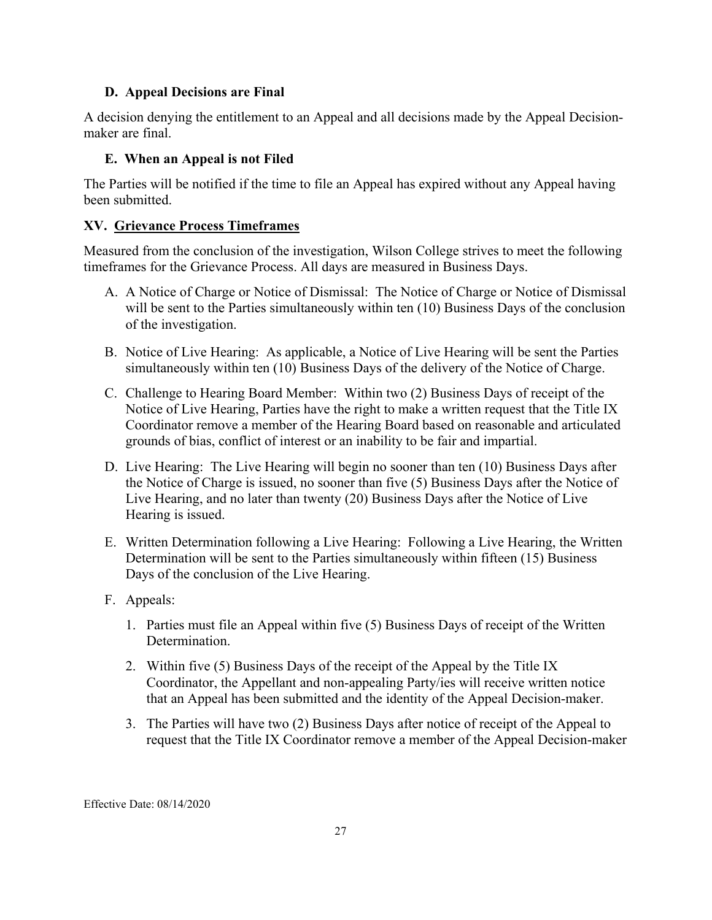#### **D. Appeal Decisions are Final**

A decision denying the entitlement to an Appeal and all decisions made by the Appeal Decisionmaker are final.

### **E. When an Appeal is not Filed**

The Parties will be notified if the time to file an Appeal has expired without any Appeal having been submitted.

#### **XV. Grievance Process Timeframes**

Measured from the conclusion of the investigation, Wilson College strives to meet the following timeframes for the Grievance Process. All days are measured in Business Days.

- A. A Notice of Charge or Notice of Dismissal: The Notice of Charge or Notice of Dismissal will be sent to the Parties simultaneously within ten (10) Business Days of the conclusion of the investigation.
- B. Notice of Live Hearing: As applicable, a Notice of Live Hearing will be sent the Parties simultaneously within ten (10) Business Days of the delivery of the Notice of Charge.
- C. Challenge to Hearing Board Member: Within two (2) Business Days of receipt of the Notice of Live Hearing, Parties have the right to make a written request that the Title IX Coordinator remove a member of the Hearing Board based on reasonable and articulated grounds of bias, conflict of interest or an inability to be fair and impartial.
- D. Live Hearing: The Live Hearing will begin no sooner than ten (10) Business Days after the Notice of Charge is issued, no sooner than five (5) Business Days after the Notice of Live Hearing, and no later than twenty (20) Business Days after the Notice of Live Hearing is issued.
- E. Written Determination following a Live Hearing: Following a Live Hearing, the Written Determination will be sent to the Parties simultaneously within fifteen (15) Business Days of the conclusion of the Live Hearing.
- F. Appeals:
	- 1. Parties must file an Appeal within five (5) Business Days of receipt of the Written Determination.
	- 2. Within five (5) Business Days of the receipt of the Appeal by the Title IX Coordinator, the Appellant and non-appealing Party/ies will receive written notice that an Appeal has been submitted and the identity of the Appeal Decision-maker.
	- 3. The Parties will have two (2) Business Days after notice of receipt of the Appeal to request that the Title IX Coordinator remove a member of the Appeal Decision-maker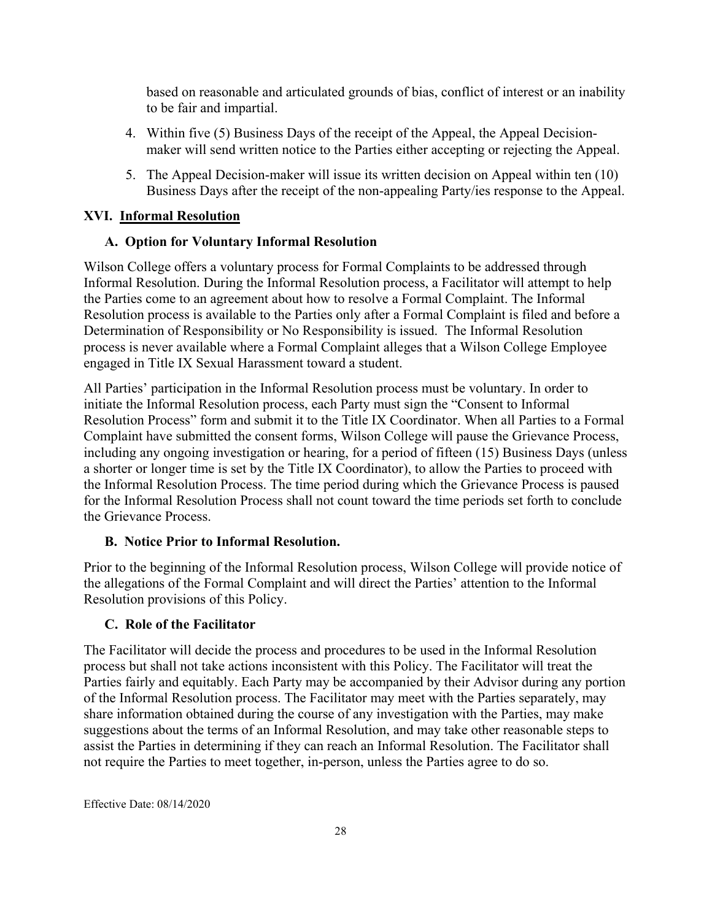based on reasonable and articulated grounds of bias, conflict of interest or an inability to be fair and impartial.

- 4. Within five (5) Business Days of the receipt of the Appeal, the Appeal Decisionmaker will send written notice to the Parties either accepting or rejecting the Appeal.
- 5. The Appeal Decision-maker will issue its written decision on Appeal within ten (10) Business Days after the receipt of the non-appealing Party/ies response to the Appeal.

### **XVI. Informal Resolution**

# **A. Option for Voluntary Informal Resolution**

Wilson College offers a voluntary process for Formal Complaints to be addressed through Informal Resolution. During the Informal Resolution process, a Facilitator will attempt to help the Parties come to an agreement about how to resolve a Formal Complaint. The Informal Resolution process is available to the Parties only after a Formal Complaint is filed and before a Determination of Responsibility or No Responsibility is issued. The Informal Resolution process is never available where a Formal Complaint alleges that a Wilson College Employee engaged in Title IX Sexual Harassment toward a student.

All Parties' participation in the Informal Resolution process must be voluntary. In order to initiate the Informal Resolution process, each Party must sign the "Consent to Informal Resolution Process" form and submit it to the Title IX Coordinator. When all Parties to a Formal Complaint have submitted the consent forms, Wilson College will pause the Grievance Process, including any ongoing investigation or hearing, for a period of fifteen (15) Business Days (unless a shorter or longer time is set by the Title IX Coordinator), to allow the Parties to proceed with the Informal Resolution Process. The time period during which the Grievance Process is paused for the Informal Resolution Process shall not count toward the time periods set forth to conclude the Grievance Process.

### **B. Notice Prior to Informal Resolution.**

Prior to the beginning of the Informal Resolution process, Wilson College will provide notice of the allegations of the Formal Complaint and will direct the Parties' attention to the Informal Resolution provisions of this Policy.

### **C. Role of the Facilitator**

The Facilitator will decide the process and procedures to be used in the Informal Resolution process but shall not take actions inconsistent with this Policy. The Facilitator will treat the Parties fairly and equitably. Each Party may be accompanied by their Advisor during any portion of the Informal Resolution process. The Facilitator may meet with the Parties separately, may share information obtained during the course of any investigation with the Parties, may make suggestions about the terms of an Informal Resolution, and may take other reasonable steps to assist the Parties in determining if they can reach an Informal Resolution. The Facilitator shall not require the Parties to meet together, in-person, unless the Parties agree to do so.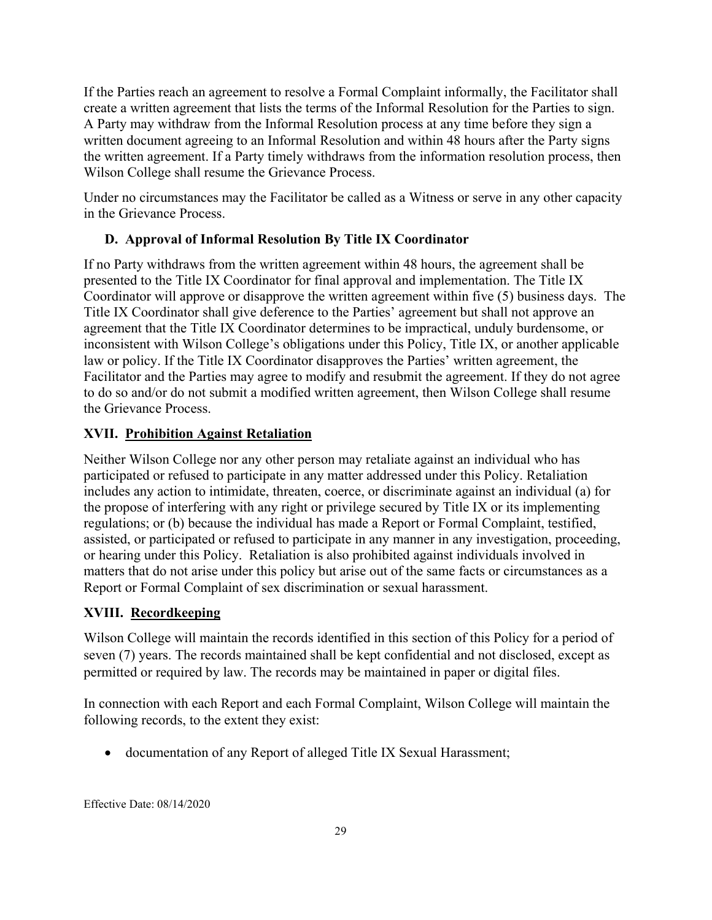If the Parties reach an agreement to resolve a Formal Complaint informally, the Facilitator shall create a written agreement that lists the terms of the Informal Resolution for the Parties to sign. A Party may withdraw from the Informal Resolution process at any time before they sign a written document agreeing to an Informal Resolution and within 48 hours after the Party signs the written agreement. If a Party timely withdraws from the information resolution process, then Wilson College shall resume the Grievance Process.

Under no circumstances may the Facilitator be called as a Witness or serve in any other capacity in the Grievance Process.

# **D. Approval of Informal Resolution By Title IX Coordinator**

If no Party withdraws from the written agreement within 48 hours, the agreement shall be presented to the Title IX Coordinator for final approval and implementation. The Title IX Coordinator will approve or disapprove the written agreement within five (5) business days. The Title IX Coordinator shall give deference to the Parties' agreement but shall not approve an agreement that the Title IX Coordinator determines to be impractical, unduly burdensome, or inconsistent with Wilson College's obligations under this Policy, Title IX, or another applicable law or policy. If the Title IX Coordinator disapproves the Parties' written agreement, the Facilitator and the Parties may agree to modify and resubmit the agreement. If they do not agree to do so and/or do not submit a modified written agreement, then Wilson College shall resume the Grievance Process.

# **XVII. Prohibition Against Retaliation**

Neither Wilson College nor any other person may retaliate against an individual who has participated or refused to participate in any matter addressed under this Policy. Retaliation includes any action to intimidate, threaten, coerce, or discriminate against an individual (a) for the propose of interfering with any right or privilege secured by Title IX or its implementing regulations; or (b) because the individual has made a Report or Formal Complaint, testified, assisted, or participated or refused to participate in any manner in any investigation, proceeding, or hearing under this Policy. Retaliation is also prohibited against individuals involved in matters that do not arise under this policy but arise out of the same facts or circumstances as a Report or Formal Complaint of sex discrimination or sexual harassment.

# **XVIII. Recordkeeping**

Wilson College will maintain the records identified in this section of this Policy for a period of seven (7) years. The records maintained shall be kept confidential and not disclosed, except as permitted or required by law. The records may be maintained in paper or digital files.

In connection with each Report and each Formal Complaint, Wilson College will maintain the following records, to the extent they exist:

• documentation of any Report of alleged Title IX Sexual Harassment;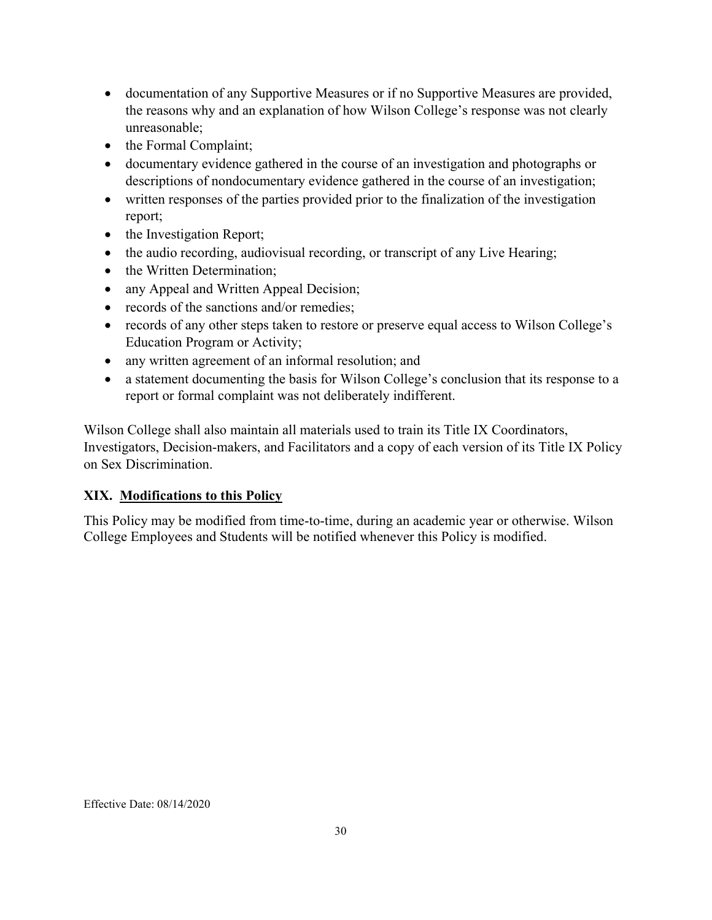- documentation of any Supportive Measures or if no Supportive Measures are provided, the reasons why and an explanation of how Wilson College's response was not clearly unreasonable;
- the Formal Complaint;
- documentary evidence gathered in the course of an investigation and photographs or descriptions of nondocumentary evidence gathered in the course of an investigation;
- written responses of the parties provided prior to the finalization of the investigation report;
- the Investigation Report;
- the audio recording, audiovisual recording, or transcript of any Live Hearing;
- the Written Determination;
- any Appeal and Written Appeal Decision;
- records of the sanctions and/or remedies;
- records of any other steps taken to restore or preserve equal access to Wilson College's Education Program or Activity;
- any written agreement of an informal resolution; and
- a statement documenting the basis for Wilson College's conclusion that its response to a report or formal complaint was not deliberately indifferent.

Wilson College shall also maintain all materials used to train its Title IX Coordinators, Investigators, Decision-makers, and Facilitators and a copy of each version of its Title IX Policy on Sex Discrimination.

### **XIX. Modifications to this Policy**

This Policy may be modified from time-to-time, during an academic year or otherwise. Wilson College Employees and Students will be notified whenever this Policy is modified.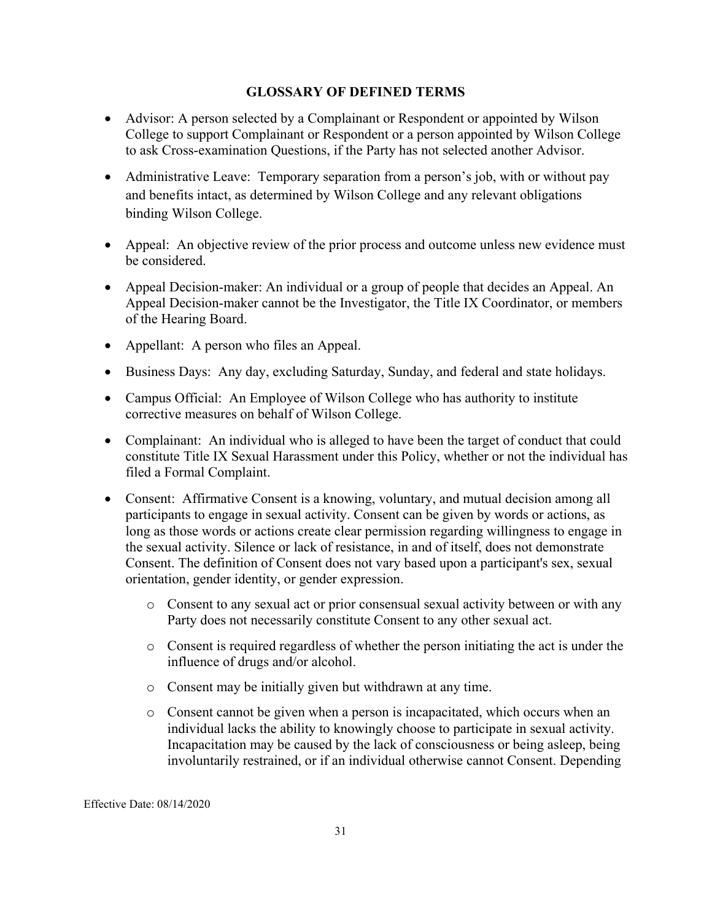#### **GLOSSARY OF DEFINED TERMS**

- Advisor: A person selected by a Complainant or Respondent or appointed by Wilson College to support Complainant or Respondent or a person appointed by Wilson College to ask Cross-examination Questions, if the Party has not selected another Advisor.
- Administrative Leave: Temporary separation from a person's job, with or without pay and benefits intact, as determined by Wilson College and any relevant obligations binding Wilson College.
- Appeal: An objective review of the prior process and outcome unless new evidence must be considered.
- Appeal Decision-maker: An individual or a group of people that decides an Appeal. An Appeal Decision-maker cannot be the Investigator, the Title IX Coordinator, or members of the Hearing Board.
- Appellant: A person who files an Appeal.
- Business Days: Any day, excluding Saturday, Sunday, and federal and state holidays.
- Campus Official: An Employee of Wilson College who has authority to institute corrective measures on behalf of Wilson College.
- Complainant: An individual who is alleged to have been the target of conduct that could constitute Title IX Sexual Harassment under this Policy, whether or not the individual has filed a Formal Complaint.
- Consent: Affirmative Consent is a knowing, voluntary, and mutual decision among all participants to engage in sexual activity. Consent can be given by words or actions, as long as those words or actions create clear permission regarding willingness to engage in the sexual activity. Silence or lack of resistance, in and of itself, does not demonstrate Consent. The definition of Consent does not vary based upon a participant's sex, sexual orientation, gender identity, or gender expression.
	- o Consent to any sexual act or prior consensual sexual activity between or with any Party does not necessarily constitute Consent to any other sexual act.
	- o Consent is required regardless of whether the person initiating the act is under the influence of drugs and/or alcohol.
	- o Consent may be initially given but withdrawn at any time.
	- o Consent cannot be given when a person is incapacitated, which occurs when an individual lacks the ability to knowingly choose to participate in sexual activity. Incapacitation may be caused by the lack of consciousness or being asleep, being involuntarily restrained, or if an individual otherwise cannot Consent. Depending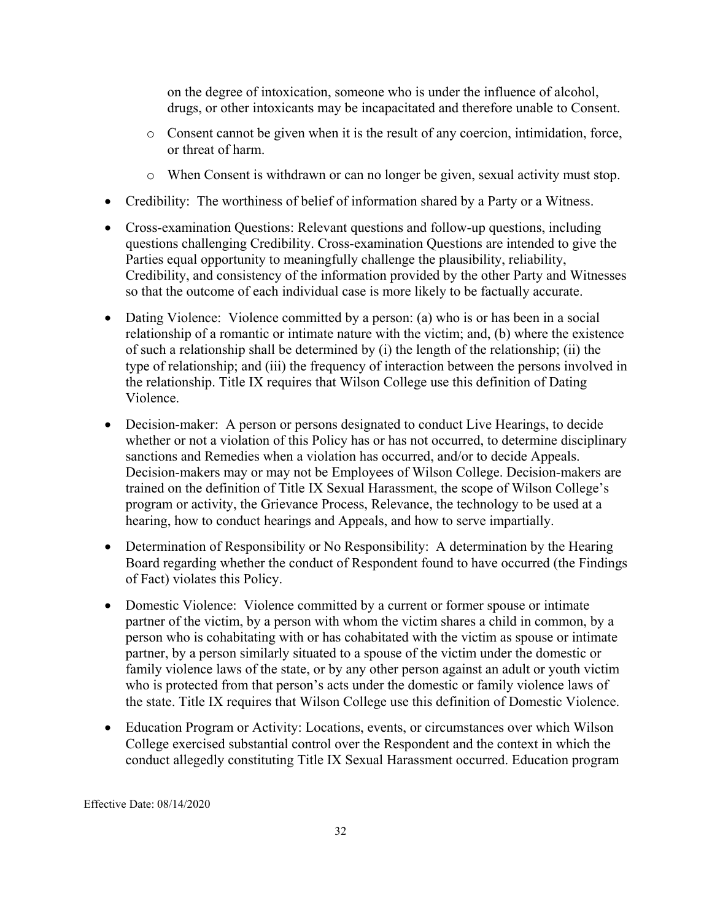on the degree of intoxication, someone who is under the influence of alcohol, drugs, or other intoxicants may be incapacitated and therefore unable to Consent.

- o Consent cannot be given when it is the result of any coercion, intimidation, force, or threat of harm.
- o When Consent is withdrawn or can no longer be given, sexual activity must stop.
- Credibility: The worthiness of belief of information shared by a Party or a Witness.
- Cross-examination Questions: Relevant questions and follow-up questions, including questions challenging Credibility. Cross-examination Questions are intended to give the Parties equal opportunity to meaningfully challenge the plausibility, reliability, Credibility, and consistency of the information provided by the other Party and Witnesses so that the outcome of each individual case is more likely to be factually accurate.
- Dating Violence: Violence committed by a person: (a) who is or has been in a social relationship of a romantic or intimate nature with the victim; and, (b) where the existence of such a relationship shall be determined by (i) the length of the relationship; (ii) the type of relationship; and (iii) the frequency of interaction between the persons involved in the relationship. Title IX requires that Wilson College use this definition of Dating Violence.
- Decision-maker: A person or persons designated to conduct Live Hearings, to decide whether or not a violation of this Policy has or has not occurred, to determine disciplinary sanctions and Remedies when a violation has occurred, and/or to decide Appeals. Decision-makers may or may not be Employees of Wilson College. Decision-makers are trained on the definition of Title IX Sexual Harassment, the scope of Wilson College's program or activity, the Grievance Process, Relevance, the technology to be used at a hearing, how to conduct hearings and Appeals, and how to serve impartially.
- Determination of Responsibility or No Responsibility: A determination by the Hearing Board regarding whether the conduct of Respondent found to have occurred (the Findings of Fact) violates this Policy.
- Domestic Violence: Violence committed by a current or former spouse or intimate partner of the victim, by a person with whom the victim shares a child in common, by a person who is cohabitating with or has cohabitated with the victim as spouse or intimate partner, by a person similarly situated to a spouse of the victim under the domestic or family violence laws of the state, or by any other person against an adult or youth victim who is protected from that person's acts under the domestic or family violence laws of the state. Title IX requires that Wilson College use this definition of Domestic Violence.
- Education Program or Activity: Locations, events, or circumstances over which Wilson College exercised substantial control over the Respondent and the context in which the conduct allegedly constituting Title IX Sexual Harassment occurred. Education program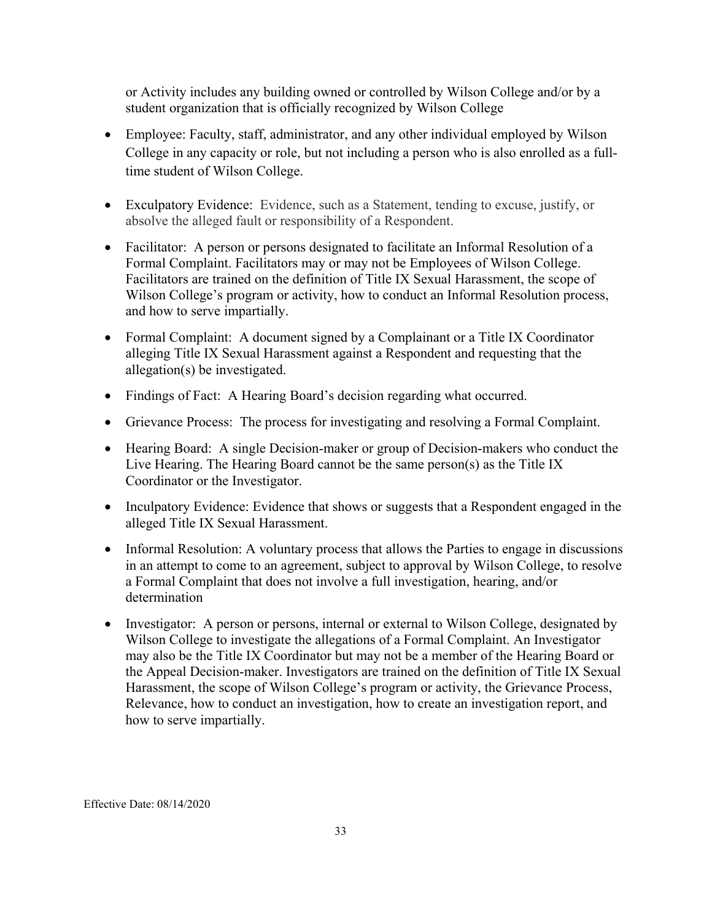or Activity includes any building owned or controlled by Wilson College and/or by a student organization that is officially recognized by Wilson College

- Employee: Faculty, staff, administrator, and any other individual employed by Wilson College in any capacity or role, but not including a person who is also enrolled as a fulltime student of Wilson College.
- Exculpatory Evidence: Evidence, such as a Statement, tending to excuse, justify, or absolve the alleged fault or responsibility of a Respondent.
- Facilitator: A person or persons designated to facilitate an Informal Resolution of a Formal Complaint. Facilitators may or may not be Employees of Wilson College. Facilitators are trained on the definition of Title IX Sexual Harassment, the scope of Wilson College's program or activity, how to conduct an Informal Resolution process, and how to serve impartially.
- Formal Complaint: A document signed by a Complainant or a Title IX Coordinator alleging Title IX Sexual Harassment against a Respondent and requesting that the allegation(s) be investigated.
- Findings of Fact: A Hearing Board's decision regarding what occurred.
- Grievance Process: The process for investigating and resolving a Formal Complaint.
- Hearing Board: A single Decision-maker or group of Decision-makers who conduct the Live Hearing. The Hearing Board cannot be the same person(s) as the Title IX Coordinator or the Investigator.
- Inculpatory Evidence: Evidence that shows or suggests that a Respondent engaged in the alleged Title IX Sexual Harassment.
- Informal Resolution: A voluntary process that allows the Parties to engage in discussions in an attempt to come to an agreement, subject to approval by Wilson College, to resolve a Formal Complaint that does not involve a full investigation, hearing, and/or determination
- Investigator: A person or persons, internal or external to Wilson College, designated by Wilson College to investigate the allegations of a Formal Complaint. An Investigator may also be the Title IX Coordinator but may not be a member of the Hearing Board or the Appeal Decision-maker. Investigators are trained on the definition of Title IX Sexual Harassment, the scope of Wilson College's program or activity, the Grievance Process, Relevance, how to conduct an investigation, how to create an investigation report, and how to serve impartially.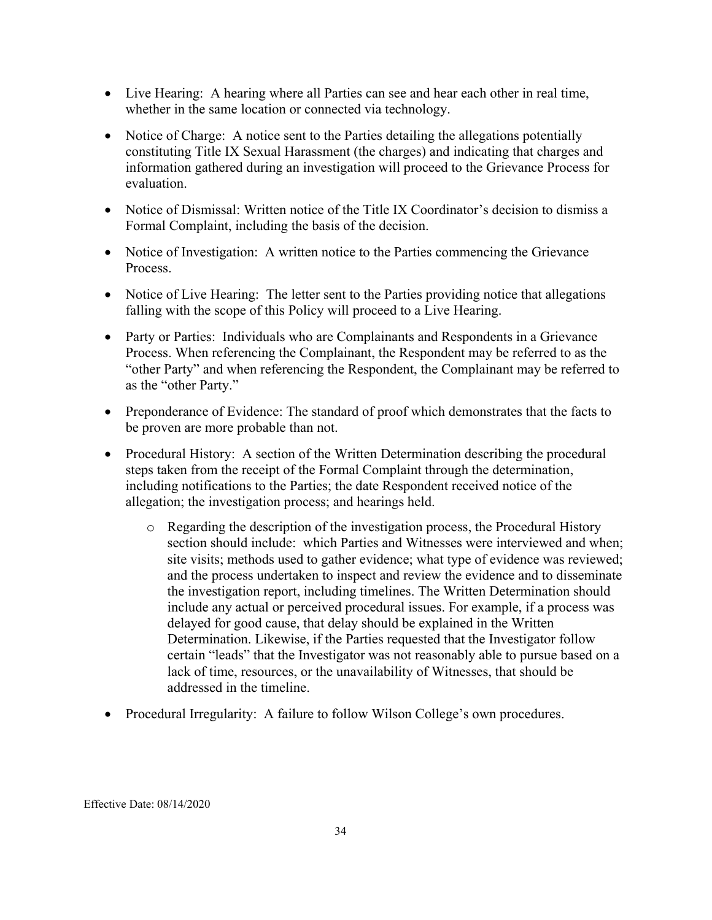- Live Hearing: A hearing where all Parties can see and hear each other in real time, whether in the same location or connected via technology.
- Notice of Charge: A notice sent to the Parties detailing the allegations potentially constituting Title IX Sexual Harassment (the charges) and indicating that charges and information gathered during an investigation will proceed to the Grievance Process for evaluation.
- Notice of Dismissal: Written notice of the Title IX Coordinator's decision to dismiss a Formal Complaint, including the basis of the decision.
- Notice of Investigation: A written notice to the Parties commencing the Grievance Process.
- Notice of Live Hearing: The letter sent to the Parties providing notice that allegations falling with the scope of this Policy will proceed to a Live Hearing.
- Party or Parties: Individuals who are Complainants and Respondents in a Grievance Process. When referencing the Complainant, the Respondent may be referred to as the "other Party" and when referencing the Respondent, the Complainant may be referred to as the "other Party."
- Preponderance of Evidence: The standard of proof which demonstrates that the facts to be proven are more probable than not.
- Procedural History: A section of the Written Determination describing the procedural steps taken from the receipt of the Formal Complaint through the determination, including notifications to the Parties; the date Respondent received notice of the allegation; the investigation process; and hearings held.
	- o Regarding the description of the investigation process, the Procedural History section should include: which Parties and Witnesses were interviewed and when; site visits; methods used to gather evidence; what type of evidence was reviewed; and the process undertaken to inspect and review the evidence and to disseminate the investigation report, including timelines. The Written Determination should include any actual or perceived procedural issues. For example, if a process was delayed for good cause, that delay should be explained in the Written Determination. Likewise, if the Parties requested that the Investigator follow certain "leads" that the Investigator was not reasonably able to pursue based on a lack of time, resources, or the unavailability of Witnesses, that should be addressed in the timeline.
- Procedural Irregularity: A failure to follow Wilson College's own procedures.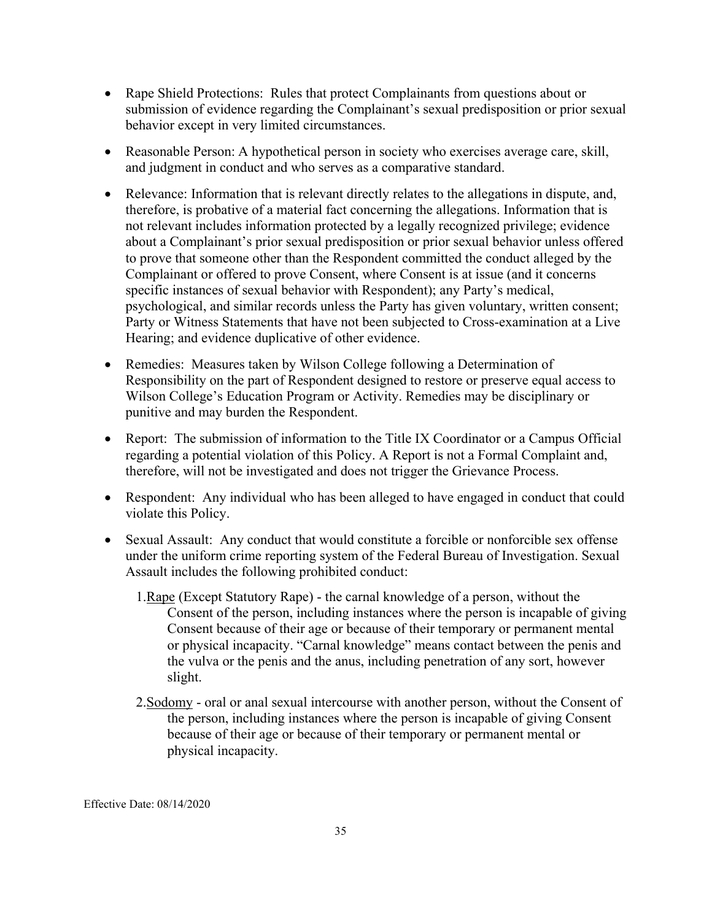- Rape Shield Protections: Rules that protect Complainants from questions about or submission of evidence regarding the Complainant's sexual predisposition or prior sexual behavior except in very limited circumstances.
- Reasonable Person: A hypothetical person in society who exercises average care, skill, and judgment in conduct and who serves as a comparative standard.
- Relevance: Information that is relevant directly relates to the allegations in dispute, and, therefore, is probative of a material fact concerning the allegations. Information that is not relevant includes information protected by a legally recognized privilege; evidence about a Complainant's prior sexual predisposition or prior sexual behavior unless offered to prove that someone other than the Respondent committed the conduct alleged by the Complainant or offered to prove Consent, where Consent is at issue (and it concerns specific instances of sexual behavior with Respondent); any Party's medical, psychological, and similar records unless the Party has given voluntary, written consent; Party or Witness Statements that have not been subjected to Cross-examination at a Live Hearing; and evidence duplicative of other evidence.
- Remedies: Measures taken by Wilson College following a Determination of Responsibility on the part of Respondent designed to restore or preserve equal access to Wilson College's Education Program or Activity. Remedies may be disciplinary or punitive and may burden the Respondent.
- Report: The submission of information to the Title IX Coordinator or a Campus Official regarding a potential violation of this Policy. A Report is not a Formal Complaint and, therefore, will not be investigated and does not trigger the Grievance Process.
- Respondent: Any individual who has been alleged to have engaged in conduct that could violate this Policy.
- Sexual Assault: Any conduct that would constitute a forcible or nonforcible sex offense under the uniform crime reporting system of the Federal Bureau of Investigation. Sexual Assault includes the following prohibited conduct:
	- 1.Rape (Except Statutory Rape) the carnal knowledge of a person, without the Consent of the person, including instances where the person is incapable of giving Consent because of their age or because of their temporary or permanent mental or physical incapacity. "Carnal knowledge" means contact between the penis and the vulva or the penis and the anus, including penetration of any sort, however slight.
	- 2.Sodomy oral or anal sexual intercourse with another person, without the Consent of the person, including instances where the person is incapable of giving Consent because of their age or because of their temporary or permanent mental or physical incapacity.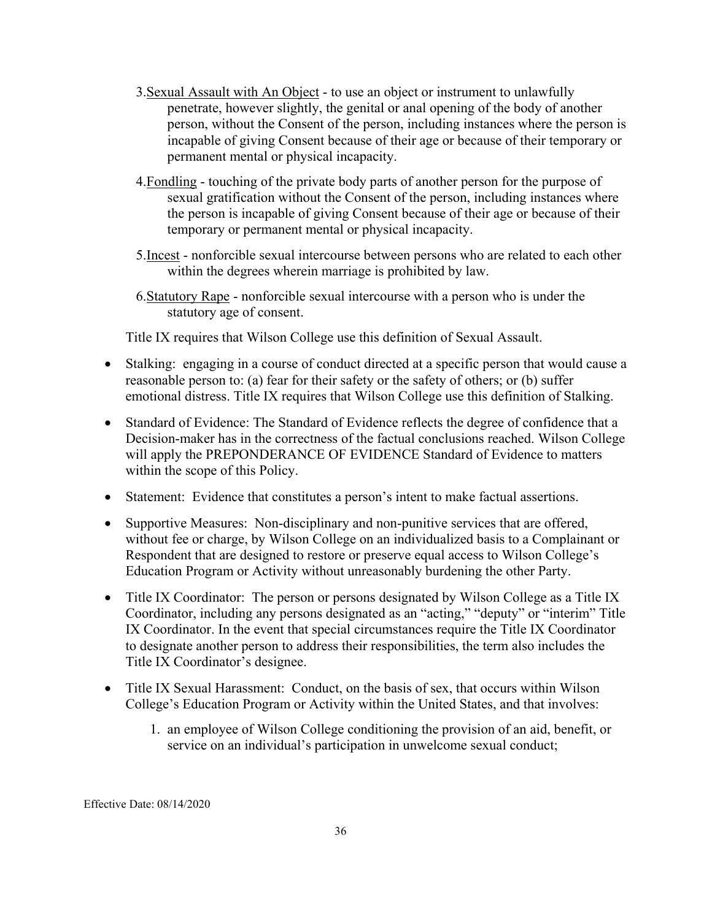- 3.Sexual Assault with An Object to use an object or instrument to unlawfully penetrate, however slightly, the genital or anal opening of the body of another person, without the Consent of the person, including instances where the person is incapable of giving Consent because of their age or because of their temporary or permanent mental or physical incapacity.
- 4.Fondling touching of the private body parts of another person for the purpose of sexual gratification without the Consent of the person, including instances where the person is incapable of giving Consent because of their age or because of their temporary or permanent mental or physical incapacity.
- 5.Incest nonforcible sexual intercourse between persons who are related to each other within the degrees wherein marriage is prohibited by law.
- 6.Statutory Rape nonforcible sexual intercourse with a person who is under the statutory age of consent.

Title IX requires that Wilson College use this definition of Sexual Assault.

- Stalking: engaging in a course of conduct directed at a specific person that would cause a reasonable person to: (a) fear for their safety or the safety of others; or (b) suffer emotional distress. Title IX requires that Wilson College use this definition of Stalking.
- Standard of Evidence: The Standard of Evidence reflects the degree of confidence that a Decision-maker has in the correctness of the factual conclusions reached. Wilson College will apply the PREPONDERANCE OF EVIDENCE Standard of Evidence to matters within the scope of this Policy.
- Statement: Evidence that constitutes a person's intent to make factual assertions.
- Supportive Measures: Non-disciplinary and non-punitive services that are offered, without fee or charge, by Wilson College on an individualized basis to a Complainant or Respondent that are designed to restore or preserve equal access to Wilson College's Education Program or Activity without unreasonably burdening the other Party.
- Title IX Coordinator: The person or persons designated by Wilson College as a Title IX Coordinator, including any persons designated as an "acting," "deputy" or "interim" Title IX Coordinator. In the event that special circumstances require the Title IX Coordinator to designate another person to address their responsibilities, the term also includes the Title IX Coordinator's designee.
- Title IX Sexual Harassment: Conduct, on the basis of sex, that occurs within Wilson College's Education Program or Activity within the United States, and that involves:
	- 1. an employee of Wilson College conditioning the provision of an aid, benefit, or service on an individual's participation in unwelcome sexual conduct;